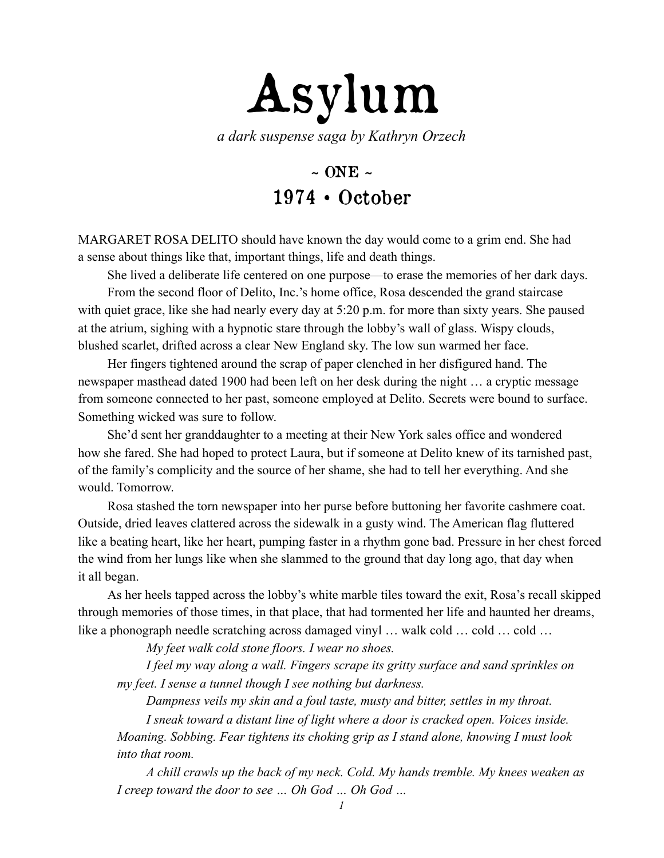

*a dark suspense saga by Kathryn Orzech* 

## $\sim$  ONE  $\sim$ 1974 • October

MARGARET ROSA DELITO should have known the day would come to a grim end. She had a sense about things like that, important things, life and death things.

She lived a deliberate life centered on one purpose—to erase the memories of her dark days. From the second floor of Delito, Inc.'s home office, Rosa descended the grand staircase with quiet grace, like she had nearly every day at 5:20 p.m. for more than sixty years. She paused at the atrium, sighing with a hypnotic stare through the lobby's wall of glass. Wispy clouds, blushed scarlet, drifted across a clear New England sky. The low sun warmed her face.

Her fingers tightened around the scrap of paper clenched in her disfigured hand. The newspaper masthead dated 1900 had been left on her desk during the night … a cryptic message from someone connected to her past, someone employed at Delito. Secrets were bound to surface. Something wicked was sure to follow.

She'd sent her granddaughter to a meeting at their New York sales office and wondered how she fared. She had hoped to protect Laura, but if someone at Delito knew of its tarnished past, of the family's complicity and the source of her shame, she had to tell her everything. And she would. Tomorrow.

Rosa stashed the torn newspaper into her purse before buttoning her favorite cashmere coat. Outside, dried leaves clattered across the sidewalk in a gusty wind. The American flag fluttered like a beating heart, like her heart, pumping faster in a rhythm gone bad. Pressure in her chest forced the wind from her lungs like when she slammed to the ground that day long ago, that day when it all began.

As her heels tapped across the lobby's white marble tiles toward the exit, Rosa's recall skipped through memories of those times, in that place, that had tormented her life and haunted her dreams, like a phonograph needle scratching across damaged vinyl ... walk cold ... cold ... cold ...

*My feet walk cold stone floors. I wear no shoes.* 

*I feel my way along a wall. Fingers scrape its gritty surface and sand sprinkles on my feet. I sense a tunnel though I see nothing but darkness.* 

*Dampness veils my skin and a foul taste, musty and bitter, settles in my throat. I sneak toward a distant line of light where a door is cracked open. Voices inside.* 

*Moaning. Sobbing. Fear tightens its choking grip as I stand alone, knowing I must look into that room.* 

*A chill crawls up the back of my neck. Cold. My hands tremble. My knees weaken as I creep toward the door to see … Oh God … Oh God …*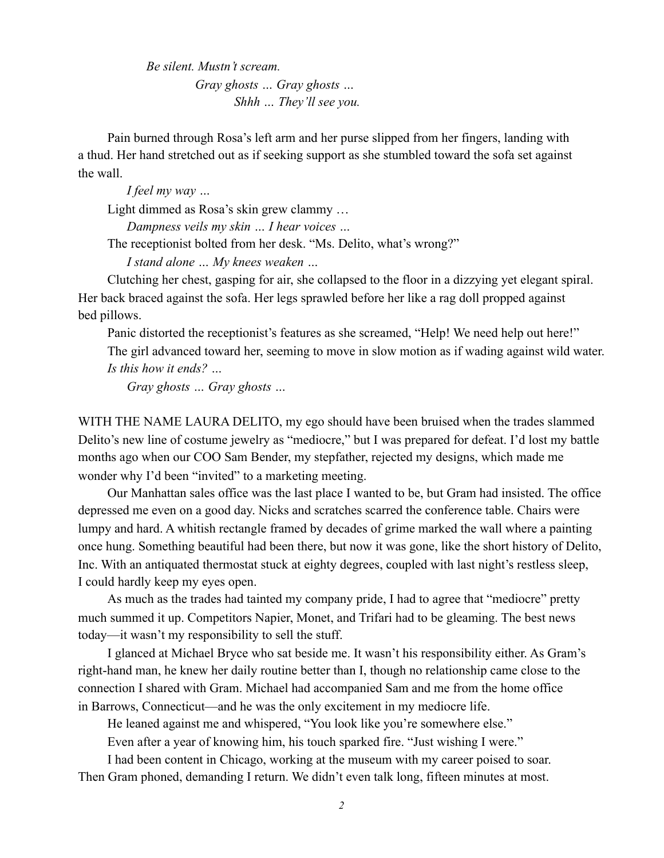*Be silent. Mustn't scream. Gray ghosts … Gray ghosts … Shhh … They'll see you.* 

Pain burned through Rosa's left arm and her purse slipped from her fingers, landing with a thud. Her hand stretched out as if seeking support as she stumbled toward the sofa set against the wall.

*I feel my way …* 

Light dimmed as Rosa's skin grew clammy …

*Dampness veils my skin … I hear voices …* 

The receptionist bolted from her desk. "Ms. Delito, what's wrong?"

*I stand alone … My knees weaken …* 

Clutching her chest, gasping for air, she collapsed to the floor in a dizzying yet elegant spiral. Her back braced against the sofa. Her legs sprawled before her like a rag doll propped against bed pillows.

Panic distorted the receptionist's features as she screamed, "Help! We need help out here!" The girl advanced toward her, seeming to move in slow motion as if wading against wild water. *Is this how it ends? …* 

*Gray ghosts … Gray ghosts …* 

WITH THE NAME LAURA DELITO, my ego should have been bruised when the trades slammed Delito's new line of costume jewelry as "mediocre," but I was prepared for defeat. I'd lost my battle months ago when our COO Sam Bender, my stepfather, rejected my designs, which made me wonder why I'd been "invited" to a marketing meeting.

Our Manhattan sales office was the last place I wanted to be, but Gram had insisted. The office depressed me even on a good day. Nicks and scratches scarred the conference table. Chairs were lumpy and hard. A whitish rectangle framed by decades of grime marked the wall where a painting once hung. Something beautiful had been there, but now it was gone, like the short history of Delito, Inc. With an antiquated thermostat stuck at eighty degrees, coupled with last night's restless sleep, I could hardly keep my eyes open.

As much as the trades had tainted my company pride, I had to agree that "mediocre" pretty much summed it up. Competitors Napier, Monet, and Trifari had to be gleaming. The best news today—it wasn't my responsibility to sell the stuff.

I glanced at Michael Bryce who sat beside me. It wasn't his responsibility either. As Gram's right-hand man, he knew her daily routine better than I, though no relationship came close to the connection I shared with Gram. Michael had accompanied Sam and me from the home office in Barrows, Connecticut—and he was the only excitement in my mediocre life.

He leaned against me and whispered, "You look like you're somewhere else."

Even after a year of knowing him, his touch sparked fire. "Just wishing I were."

I had been content in Chicago, working at the museum with my career poised to soar.

Then Gram phoned, demanding I return. We didn't even talk long, fifteen minutes at most.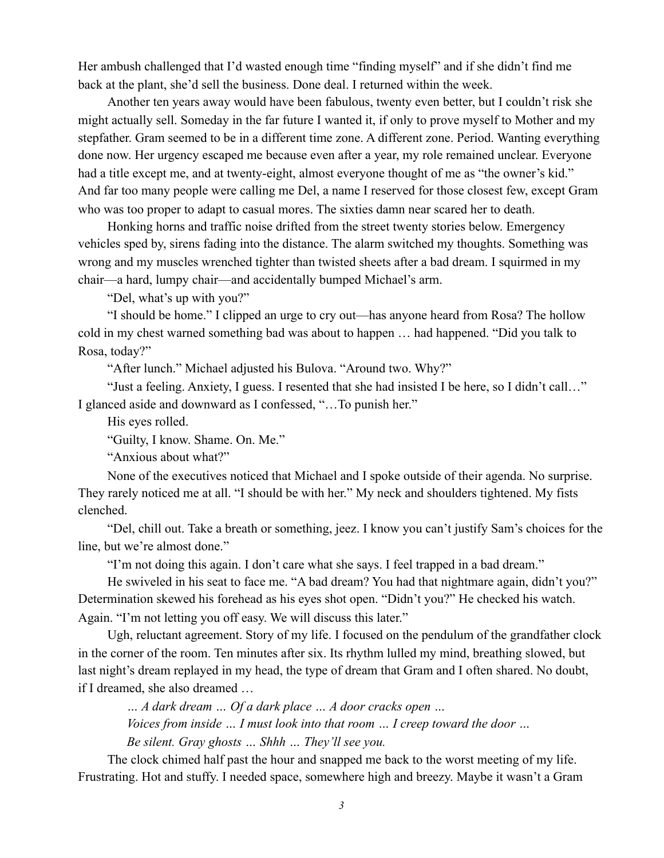Her ambush challenged that I'd wasted enough time "finding myself" and if she didn't find me back at the plant, she'd sell the business. Done deal. I returned within the week.

Another ten years away would have been fabulous, twenty even better, but I couldn't risk she might actually sell. Someday in the far future I wanted it, if only to prove myself to Mother and my stepfather. Gram seemed to be in a different time zone. A different zone. Period. Wanting everything done now. Her urgency escaped me because even after a year, my role remained unclear. Everyone had a title except me, and at twenty-eight, almost everyone thought of me as "the owner's kid." And far too many people were calling me Del, a name I reserved for those closest few, except Gram who was too proper to adapt to casual mores. The sixties damn near scared her to death.

Honking horns and traffic noise drifted from the street twenty stories below. Emergency vehicles sped by, sirens fading into the distance. The alarm switched my thoughts. Something was wrong and my muscles wrenched tighter than twisted sheets after a bad dream. I squirmed in my chair—a hard, lumpy chair—and accidentally bumped Michael's arm.

"Del, what's up with you?"

"I should be home." I clipped an urge to cry out—has anyone heard from Rosa? The hollow cold in my chest warned something bad was about to happen … had happened. "Did you talk to Rosa, today?"

"After lunch." Michael adjusted his Bulova. "Around two. Why?"

"Just a feeling. Anxiety, I guess. I resented that she had insisted I be here, so I didn't call…" I glanced aside and downward as I confessed, "…To punish her."

His eyes rolled.

"Guilty, I know. Shame. On. Me."

"Anxious about what?"

None of the executives noticed that Michael and I spoke outside of their agenda. No surprise. They rarely noticed me at all. "I should be with her." My neck and shoulders tightened. My fists clenched.

"Del, chill out. Take a breath or something, jeez. I know you can't justify Sam's choices for the line, but we're almost done."

"I'm not doing this again. I don't care what she says. I feel trapped in a bad dream."

He swiveled in his seat to face me. "A bad dream? You had that nightmare again, didn't you?" Determination skewed his forehead as his eyes shot open. "Didn't you?" He checked his watch. Again. "I'm not letting you off easy. We will discuss this later."

Ugh, reluctant agreement. Story of my life. I focused on the pendulum of the grandfather clock in the corner of the room. Ten minutes after six. Its rhythm lulled my mind, breathing slowed, but last night's dream replayed in my head, the type of dream that Gram and I often shared. No doubt, if I dreamed, she also dreamed …

*… A dark dream … Of a dark place … A door cracks open … Voices from inside … I must look into that room … I creep toward the door … Be silent. Gray ghosts … Shhh … They'll see you.* 

The clock chimed half past the hour and snapped me back to the worst meeting of my life. Frustrating. Hot and stuffy. I needed space, somewhere high and breezy. Maybe it wasn't a Gram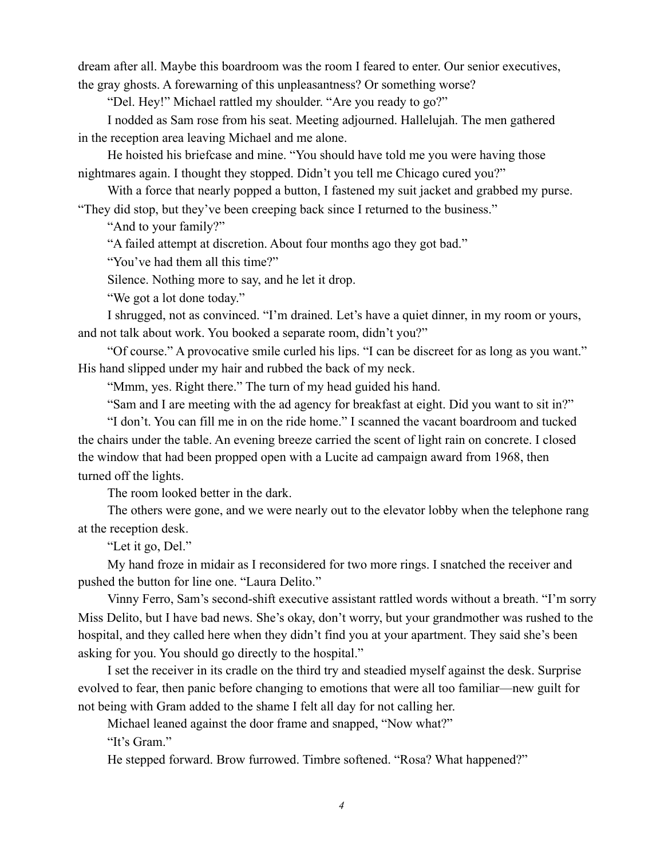dream after all. Maybe this boardroom was the room I feared to enter. Our senior executives, the gray ghosts. A forewarning of this unpleasantness? Or something worse?

"Del. Hey!" Michael rattled my shoulder. "Are you ready to go?"

I nodded as Sam rose from his seat. Meeting adjourned. Hallelujah. The men gathered in the reception area leaving Michael and me alone.

He hoisted his briefcase and mine. "You should have told me you were having those nightmares again. I thought they stopped. Didn't you tell me Chicago cured you?"

With a force that nearly popped a button, I fastened my suit jacket and grabbed my purse. "They did stop, but they've been creeping back since I returned to the business."

"And to your family?"

"A failed attempt at discretion. About four months ago they got bad."

"You've had them all this time?"

Silence. Nothing more to say, and he let it drop.

"We got a lot done today."

I shrugged, not as convinced. "I'm drained. Let's have a quiet dinner, in my room or yours, and not talk about work. You booked a separate room, didn't you?"

"Of course." A provocative smile curled his lips. "I can be discreet for as long as you want." His hand slipped under my hair and rubbed the back of my neck.

"Mmm, yes. Right there." The turn of my head guided his hand.

"Sam and I are meeting with the ad agency for breakfast at eight. Did you want to sit in?"

"I don't. You can fill me in on the ride home." I scanned the vacant boardroom and tucked the chairs under the table. An evening breeze carried the scent of light rain on concrete. I closed the window that had been propped open with a Lucite ad campaign award from 1968, then turned off the lights.

The room looked better in the dark.

The others were gone, and we were nearly out to the elevator lobby when the telephone rang at the reception desk.

"Let it go, Del."

My hand froze in midair as I reconsidered for two more rings. I snatched the receiver and pushed the button for line one. "Laura Delito."

Vinny Ferro, Sam's second-shift executive assistant rattled words without a breath. "I'm sorry Miss Delito, but I have bad news. She's okay, don't worry, but your grandmother was rushed to the hospital, and they called here when they didn't find you at your apartment. They said she's been asking for you. You should go directly to the hospital."

I set the receiver in its cradle on the third try and steadied myself against the desk. Surprise evolved to fear, then panic before changing to emotions that were all too familiar—new guilt for not being with Gram added to the shame I felt all day for not calling her.

Michael leaned against the door frame and snapped, "Now what?"

"It's Gram."

He stepped forward. Brow furrowed. Timbre softened. "Rosa? What happened?"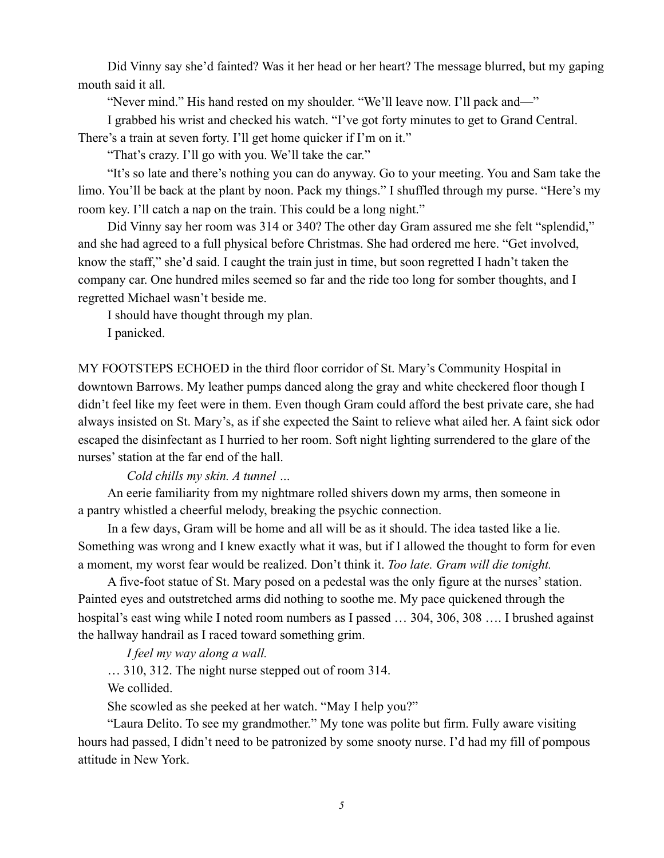Did Vinny say she'd fainted? Was it her head or her heart? The message blurred, but my gaping mouth said it all.

"Never mind." His hand rested on my shoulder. "We'll leave now. I'll pack and—"

I grabbed his wrist and checked his watch. "I've got forty minutes to get to Grand Central.

There's a train at seven forty. I'll get home quicker if I'm on it."

"That's crazy. I'll go with you. We'll take the car."

"It's so late and there's nothing you can do anyway. Go to your meeting. You and Sam take the limo. You'll be back at the plant by noon. Pack my things." I shuffled through my purse. "Here's my room key. I'll catch a nap on the train. This could be a long night."

Did Vinny say her room was 314 or 340? The other day Gram assured me she felt "splendid," and she had agreed to a full physical before Christmas. She had ordered me here. "Get involved, know the staff," she'd said. I caught the train just in time, but soon regretted I hadn't taken the company car. One hundred miles seemed so far and the ride too long for somber thoughts, and I regretted Michael wasn't beside me.

I should have thought through my plan.

I panicked.

MY FOOTSTEPS ECHOED in the third floor corridor of St. Mary's Community Hospital in downtown Barrows. My leather pumps danced along the gray and white checkered floor though I didn't feel like my feet were in them. Even though Gram could afford the best private care, she had always insisted on St. Mary's, as if she expected the Saint to relieve what ailed her. A faint sick odor escaped the disinfectant as I hurried to her room. Soft night lighting surrendered to the glare of the nurses' station at the far end of the hall.

*Cold chills my skin. A tunnel …* 

An eerie familiarity from my nightmare rolled shivers down my arms, then someone in a pantry whistled a cheerful melody, breaking the psychic connection.

In a few days, Gram will be home and all will be as it should. The idea tasted like a lie. Something was wrong and I knew exactly what it was, but if I allowed the thought to form for even a moment, my worst fear would be realized. Don't think it. *Too late. Gram will die tonight.* 

A five-foot statue of St. Mary posed on a pedestal was the only figure at the nurses' station. Painted eyes and outstretched arms did nothing to soothe me. My pace quickened through the hospital's east wing while I noted room numbers as I passed ... 304, 306, 308 .... I brushed against the hallway handrail as I raced toward something grim.

*I feel my way along a wall.* 

… 310, 312. The night nurse stepped out of room 314.

We collided.

She scowled as she peeked at her watch. "May I help you?"

"Laura Delito. To see my grandmother." My tone was polite but firm. Fully aware visiting hours had passed, I didn't need to be patronized by some snooty nurse. I'd had my fill of pompous attitude in New York.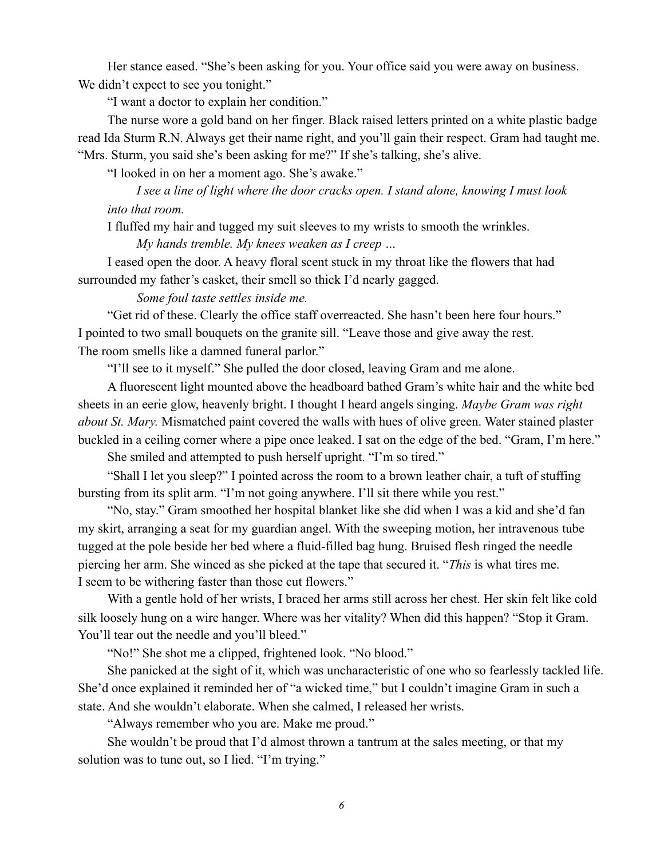Her stance eased. "She's been asking for you. Your office said you were away on business. We didn't expect to see you tonight."

"I want a doctor to explain her condition."

The nurse wore a gold band on her finger. Black raised letters printed on a white plastic badge read Ida Sturm R.N. Always get their name right, and you'll gain their respect. Gram had taught me. "Mrs. Sturm, you said she's been asking for me?" If she's talking, she's alive.

"I looked in on her a moment ago. She's awake."

*I see a line of light where the door cracks open. I stand alone, knowing I must look into that room.* 

I fluffed my hair and tugged my suit sleeves to my wrists to smooth the wrinkles.

*My hands tremble. My knees weaken as I creep …* 

I eased open the door. A heavy floral scent stuck in my throat like the flowers that had surrounded my father's casket, their smell so thick I'd nearly gagged.

*Some foul taste settles inside me.* 

"Get rid of these. Clearly the office staff overreacted. She hasn't been here four hours." I pointed to two small bouquets on the granite sill. "Leave those and give away the rest. The room smells like a damned funeral parlor."

"I'll see to it myself." She pulled the door closed, leaving Gram and me alone.

A fluorescent light mounted above the headboard bathed Gram's white hair and the white bed sheets in an eerie glow, heavenly bright. I thought I heard angels singing. *Maybe Gram was right about St. Mary.* Mismatched paint covered the walls with hues of olive green. Water stained plaster buckled in a ceiling corner where a pipe once leaked. I sat on the edge of the bed. "Gram, I'm here."

She smiled and attempted to push herself upright. "I'm so tired."

"Shall I let you sleep?" I pointed across the room to a brown leather chair, a tuft of stuffing bursting from its split arm. "I'm not going anywhere. I'll sit there while you rest."

"No, stay." Gram smoothed her hospital blanket like she did when I was a kid and she'd fan my skirt, arranging a seat for my guardian angel. With the sweeping motion, her intravenous tube tugged at the pole beside her bed where a fluid-filled bag hung. Bruised flesh ringed the needle piercing her arm. She winced as she picked at the tape that secured it. "*This* is what tires me. I seem to be withering faster than those cut flowers."

With a gentle hold of her wrists, I braced her arms still across her chest. Her skin felt like cold silk loosely hung on a wire hanger. Where was her vitality? When did this happen? "Stop it Gram. You'll tear out the needle and you'll bleed."

"No!" She shot me a clipped, frightened look. "No blood."

She panicked at the sight of it, which was uncharacteristic of one who so fearlessly tackled life. She'd once explained it reminded her of "a wicked time," but I couldn't imagine Gram in such a state. And she wouldn't elaborate. When she calmed, I released her wrists.

"Always remember who you are. Make me proud."

She wouldn't be proud that I'd almost thrown a tantrum at the sales meeting, or that my solution was to tune out, so I lied. "I'm trying."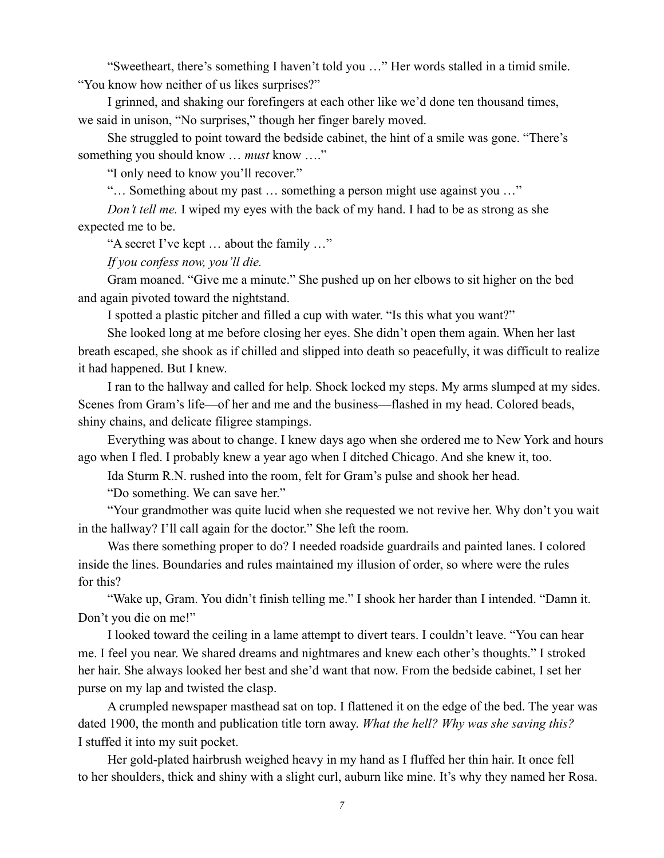"Sweetheart, there's something I haven't told you …" Her words stalled in a timid smile. "You know how neither of us likes surprises?"

I grinned, and shaking our forefingers at each other like we'd done ten thousand times, we said in unison, "No surprises," though her finger barely moved.

She struggled to point toward the bedside cabinet, the hint of a smile was gone. "There's something you should know … *must* know …."

"I only need to know you'll recover."

"… Something about my past … something a person might use against you …"

*Don't tell me.* I wiped my eyes with the back of my hand. I had to be as strong as she expected me to be.

"A secret I've kept … about the family …"

*If you confess now, you'll die.* 

Gram moaned. "Give me a minute." She pushed up on her elbows to sit higher on the bed and again pivoted toward the nightstand.

I spotted a plastic pitcher and filled a cup with water. "Is this what you want?"

She looked long at me before closing her eyes. She didn't open them again. When her last breath escaped, she shook as if chilled and slipped into death so peacefully, it was difficult to realize it had happened. But I knew.

I ran to the hallway and called for help. Shock locked my steps. My arms slumped at my sides. Scenes from Gram's life—of her and me and the business—flashed in my head. Colored beads, shiny chains, and delicate filigree stampings.

Everything was about to change. I knew days ago when she ordered me to New York and hours ago when I fled. I probably knew a year ago when I ditched Chicago. And she knew it, too.

Ida Sturm R.N. rushed into the room, felt for Gram's pulse and shook her head.

"Do something. We can save her."

"Your grandmother was quite lucid when she requested we not revive her. Why don't you wait in the hallway? I'll call again for the doctor." She left the room.

Was there something proper to do? I needed roadside guardrails and painted lanes. I colored inside the lines. Boundaries and rules maintained my illusion of order, so where were the rules for this?

"Wake up, Gram. You didn't finish telling me." I shook her harder than I intended. "Damn it. Don't you die on me!"

I looked toward the ceiling in a lame attempt to divert tears. I couldn't leave. "You can hear me. I feel you near. We shared dreams and nightmares and knew each other's thoughts." I stroked her hair. She always looked her best and she'd want that now. From the bedside cabinet, I set her purse on my lap and twisted the clasp.

A crumpled newspaper masthead sat on top. I flattened it on the edge of the bed. The year was dated 1900, the month and publication title torn away. *What the hell? Why was she saving this?* I stuffed it into my suit pocket.

Her gold-plated hairbrush weighed heavy in my hand as I fluffed her thin hair. It once fell to her shoulders, thick and shiny with a slight curl, auburn like mine. It's why they named her Rosa.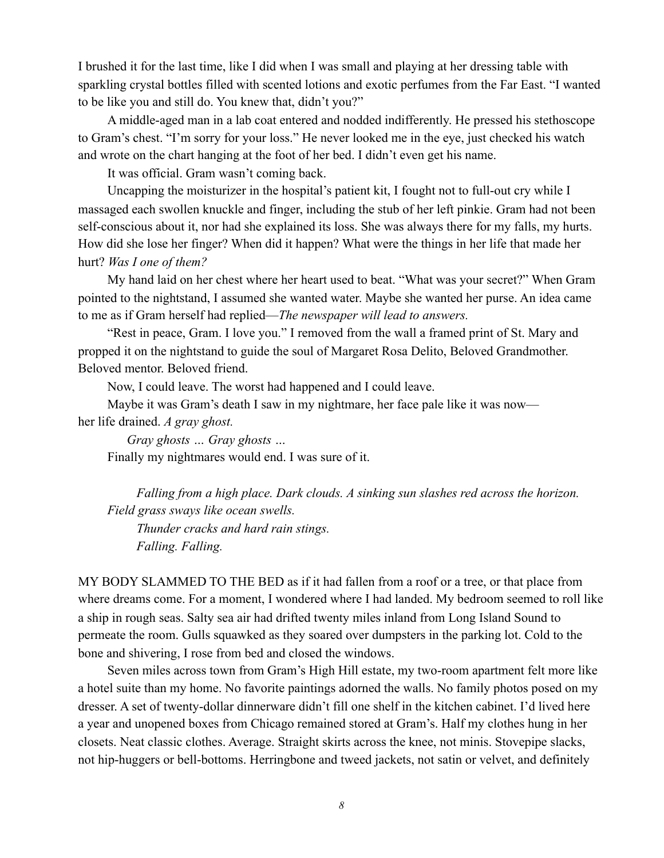I brushed it for the last time, like I did when I was small and playing at her dressing table with sparkling crystal bottles filled with scented lotions and exotic perfumes from the Far East. "I wanted to be like you and still do. You knew that, didn't you?"

A middle-aged man in a lab coat entered and nodded indifferently. He pressed his stethoscope to Gram's chest. "I'm sorry for your loss." He never looked me in the eye, just checked his watch and wrote on the chart hanging at the foot of her bed. I didn't even get his name.

It was official. Gram wasn't coming back.

Uncapping the moisturizer in the hospital's patient kit, I fought not to full-out cry while I massaged each swollen knuckle and finger, including the stub of her left pinkie. Gram had not been self-conscious about it, nor had she explained its loss. She was always there for my falls, my hurts. How did she lose her finger? When did it happen? What were the things in her life that made her hurt? *Was I one of them?*

My hand laid on her chest where her heart used to beat. "What was your secret?" When Gram pointed to the nightstand, I assumed she wanted water. Maybe she wanted her purse. An idea came to me as if Gram herself had replied—*The newspaper will lead to answers.*

"Rest in peace, Gram. I love you." I removed from the wall a framed print of St. Mary and propped it on the nightstand to guide the soul of Margaret Rosa Delito, Beloved Grandmother. Beloved mentor. Beloved friend.

Now, I could leave. The worst had happened and I could leave.

Maybe it was Gram's death I saw in my nightmare, her face pale like it was now her life drained. *A gray ghost.*

*Gray ghosts … Gray ghosts …*  Finally my nightmares would end. I was sure of it.

*Falling from a high place. Dark clouds. A sinking sun slashes red across the horizon. Field grass sways like ocean swells.* 

*Thunder cracks and hard rain stings. Falling. Falling.* 

MY BODY SLAMMED TO THE BED as if it had fallen from a roof or a tree, or that place from where dreams come. For a moment, I wondered where I had landed. My bedroom seemed to roll like a ship in rough seas. Salty sea air had drifted twenty miles inland from Long Island Sound to permeate the room. Gulls squawked as they soared over dumpsters in the parking lot. Cold to the bone and shivering, I rose from bed and closed the windows.

Seven miles across town from Gram's High Hill estate, my two-room apartment felt more like a hotel suite than my home. No favorite paintings adorned the walls. No family photos posed on my dresser. A set of twenty-dollar dinnerware didn't fill one shelf in the kitchen cabinet. I'd lived here a year and unopened boxes from Chicago remained stored at Gram's. Half my clothes hung in her closets. Neat classic clothes. Average. Straight skirts across the knee, not minis. Stovepipe slacks, not hip-huggers or bell-bottoms. Herringbone and tweed jackets, not satin or velvet, and definitely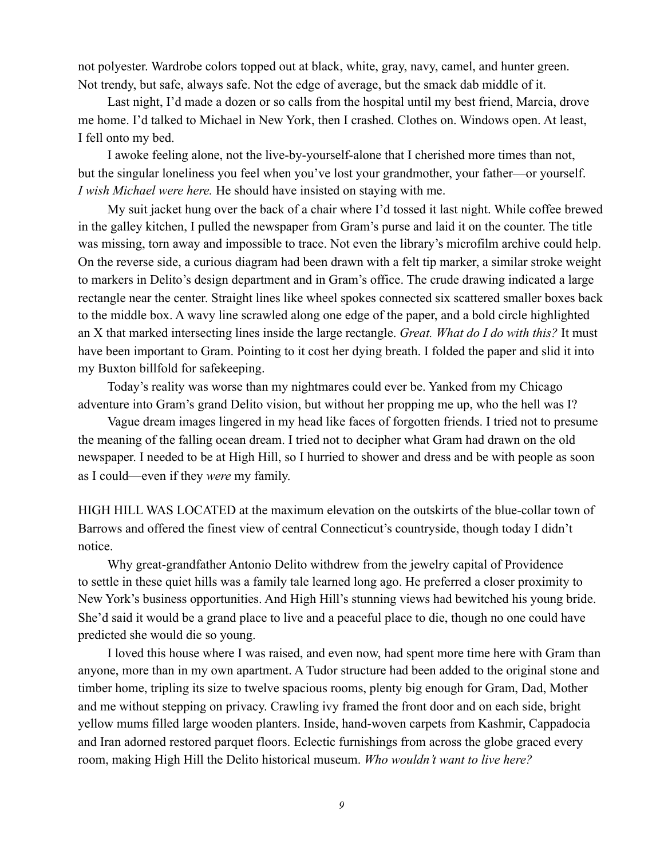not polyester. Wardrobe colors topped out at black, white, gray, navy, camel, and hunter green. Not trendy, but safe, always safe. Not the edge of average, but the smack dab middle of it.

Last night, I'd made a dozen or so calls from the hospital until my best friend, Marcia, drove me home. I'd talked to Michael in New York, then I crashed. Clothes on. Windows open. At least, I fell onto my bed.

I awoke feeling alone, not the live-by-yourself-alone that I cherished more times than not, but the singular loneliness you feel when you've lost your grandmother, your father—or yourself. *I wish Michael were here.* He should have insisted on staying with me.

My suit jacket hung over the back of a chair where I'd tossed it last night. While coffee brewed in the galley kitchen, I pulled the newspaper from Gram's purse and laid it on the counter. The title was missing, torn away and impossible to trace. Not even the library's microfilm archive could help. On the reverse side, a curious diagram had been drawn with a felt tip marker, a similar stroke weight to markers in Delito's design department and in Gram's office. The crude drawing indicated a large rectangle near the center. Straight lines like wheel spokes connected six scattered smaller boxes back to the middle box. A wavy line scrawled along one edge of the paper, and a bold circle highlighted an X that marked intersecting lines inside the large rectangle. *Great. What do I do with this?* It must have been important to Gram. Pointing to it cost her dying breath. I folded the paper and slid it into my Buxton billfold for safekeeping.

Today's reality was worse than my nightmares could ever be. Yanked from my Chicago adventure into Gram's grand Delito vision, but without her propping me up, who the hell was I?

Vague dream images lingered in my head like faces of forgotten friends. I tried not to presume the meaning of the falling ocean dream. I tried not to decipher what Gram had drawn on the old newspaper. I needed to be at High Hill, so I hurried to shower and dress and be with people as soon as I could—even if they *were* my family.

HIGH HILL WAS LOCATED at the maximum elevation on the outskirts of the blue-collar town of Barrows and offered the finest view of central Connecticut's countryside, though today I didn't notice.

Why great-grandfather Antonio Delito withdrew from the jewelry capital of Providence to settle in these quiet hills was a family tale learned long ago. He preferred a closer proximity to New York's business opportunities. And High Hill's stunning views had bewitched his young bride. She'd said it would be a grand place to live and a peaceful place to die, though no one could have predicted she would die so young.

I loved this house where I was raised, and even now, had spent more time here with Gram than anyone, more than in my own apartment. A Tudor structure had been added to the original stone and timber home, tripling its size to twelve spacious rooms, plenty big enough for Gram, Dad, Mother and me without stepping on privacy. Crawling ivy framed the front door and on each side, bright yellow mums filled large wooden planters. Inside, hand-woven carpets from Kashmir, Cappadocia and Iran adorned restored parquet floors. Eclectic furnishings from across the globe graced every room, making High Hill the Delito historical museum. *Who wouldn't want to live here?*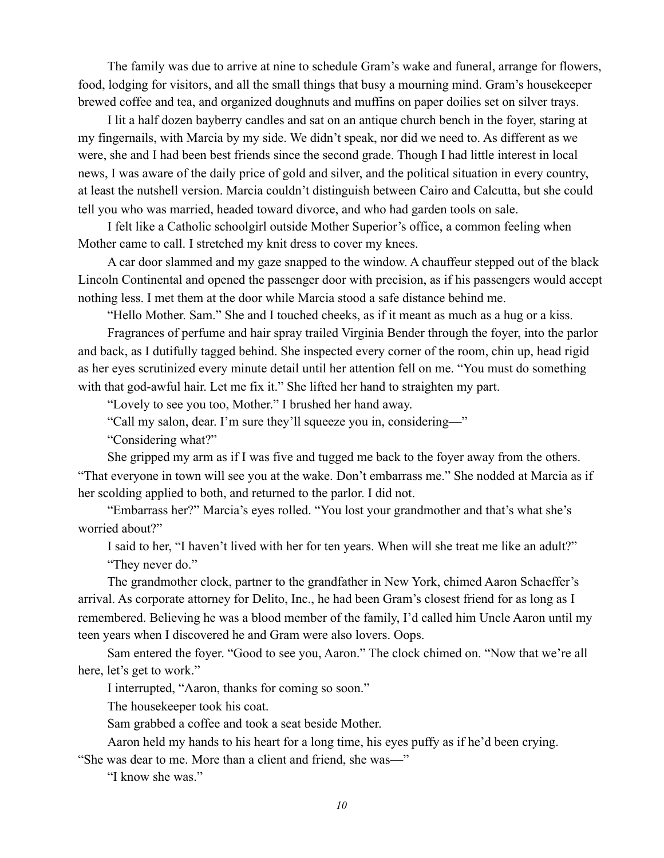The family was due to arrive at nine to schedule Gram's wake and funeral, arrange for flowers, food, lodging for visitors, and all the small things that busy a mourning mind. Gram's housekeeper brewed coffee and tea, and organized doughnuts and muffins on paper doilies set on silver trays.

I lit a half dozen bayberry candles and sat on an antique church bench in the foyer, staring at my fingernails, with Marcia by my side. We didn't speak, nor did we need to. As different as we were, she and I had been best friends since the second grade. Though I had little interest in local news, I was aware of the daily price of gold and silver, and the political situation in every country, at least the nutshell version. Marcia couldn't distinguish between Cairo and Calcutta, but she could tell you who was married, headed toward divorce, and who had garden tools on sale.

I felt like a Catholic schoolgirl outside Mother Superior's office, a common feeling when Mother came to call. I stretched my knit dress to cover my knees.

A car door slammed and my gaze snapped to the window. A chauffeur stepped out of the black Lincoln Continental and opened the passenger door with precision, as if his passengers would accept nothing less. I met them at the door while Marcia stood a safe distance behind me.

"Hello Mother. Sam." She and I touched cheeks, as if it meant as much as a hug or a kiss.

Fragrances of perfume and hair spray trailed Virginia Bender through the foyer, into the parlor and back, as I dutifully tagged behind. She inspected every corner of the room, chin up, head rigid as her eyes scrutinized every minute detail until her attention fell on me. "You must do something with that god-awful hair. Let me fix it." She lifted her hand to straighten my part.

"Lovely to see you too, Mother." I brushed her hand away.

"Call my salon, dear. I'm sure they'll squeeze you in, considering—"

"Considering what?"

She gripped my arm as if I was five and tugged me back to the foyer away from the others. "That everyone in town will see you at the wake. Don't embarrass me." She nodded at Marcia as if her scolding applied to both, and returned to the parlor. I did not.

"Embarrass her?" Marcia's eyes rolled. "You lost your grandmother and that's what she's worried about?"

I said to her, "I haven't lived with her for ten years. When will she treat me like an adult?" "They never do."

The grandmother clock, partner to the grandfather in New York, chimed Aaron Schaeffer's arrival. As corporate attorney for Delito, Inc., he had been Gram's closest friend for as long as I remembered. Believing he was a blood member of the family, I'd called him Uncle Aaron until my teen years when I discovered he and Gram were also lovers. Oops.

Sam entered the foyer. "Good to see you, Aaron." The clock chimed on. "Now that we're all here, let's get to work."

I interrupted, "Aaron, thanks for coming so soon."

The housekeeper took his coat.

Sam grabbed a coffee and took a seat beside Mother.

Aaron held my hands to his heart for a long time, his eyes puffy as if he'd been crying. "She was dear to me. More than a client and friend, she was—"

"I know she was."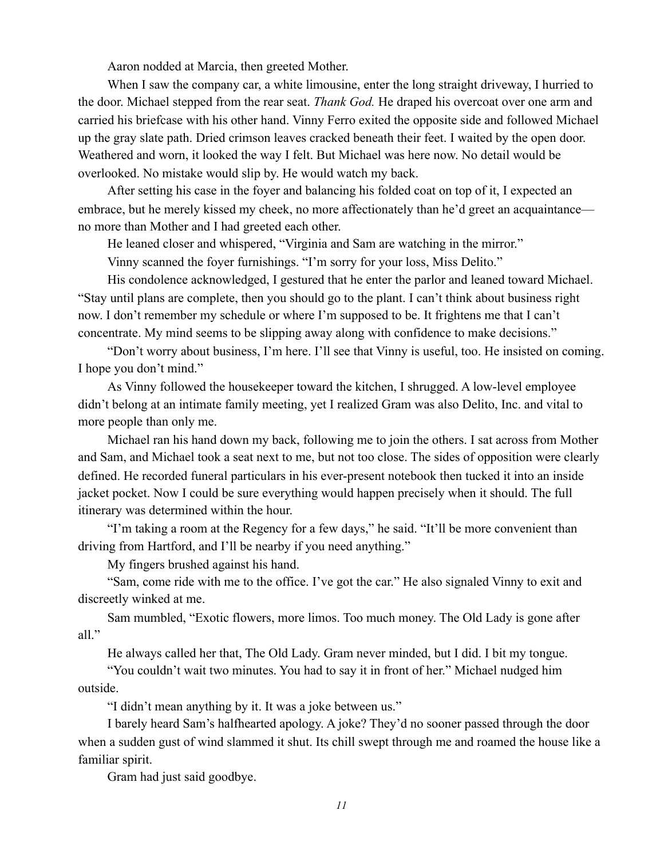Aaron nodded at Marcia, then greeted Mother.

When I saw the company car, a white limousine, enter the long straight driveway, I hurried to the door. Michael stepped from the rear seat. *Thank God.* He draped his overcoat over one arm and carried his briefcase with his other hand. Vinny Ferro exited the opposite side and followed Michael up the gray slate path. Dried crimson leaves cracked beneath their feet. I waited by the open door. Weathered and worn, it looked the way I felt. But Michael was here now. No detail would be overlooked. No mistake would slip by. He would watch my back.

After setting his case in the foyer and balancing his folded coat on top of it, I expected an embrace, but he merely kissed my cheek, no more affectionately than he'd greet an acquaintance no more than Mother and I had greeted each other.

He leaned closer and whispered, "Virginia and Sam are watching in the mirror."

Vinny scanned the foyer furnishings. "I'm sorry for your loss, Miss Delito."

His condolence acknowledged, I gestured that he enter the parlor and leaned toward Michael. "Stay until plans are complete, then you should go to the plant. I can't think about business right now. I don't remember my schedule or where I'm supposed to be. It frightens me that I can't concentrate. My mind seems to be slipping away along with confidence to make decisions."

"Don't worry about business, I'm here. I'll see that Vinny is useful, too. He insisted on coming. I hope you don't mind."

As Vinny followed the housekeeper toward the kitchen, I shrugged. A low-level employee didn't belong at an intimate family meeting, yet I realized Gram was also Delito, Inc. and vital to more people than only me.

Michael ran his hand down my back, following me to join the others. I sat across from Mother and Sam, and Michael took a seat next to me, but not too close. The sides of opposition were clearly defined. He recorded funeral particulars in his ever-present notebook then tucked it into an inside jacket pocket. Now I could be sure everything would happen precisely when it should. The full itinerary was determined within the hour.

"I'm taking a room at the Regency for a few days," he said. "It'll be more convenient than driving from Hartford, and I'll be nearby if you need anything."

My fingers brushed against his hand.

"Sam, come ride with me to the office. I've got the car." He also signaled Vinny to exit and discreetly winked at me.

Sam mumbled, "Exotic flowers, more limos. Too much money. The Old Lady is gone after all."

He always called her that, The Old Lady. Gram never minded, but I did. I bit my tongue.

"You couldn't wait two minutes. You had to say it in front of her." Michael nudged him outside.

"I didn't mean anything by it. It was a joke between us."

I barely heard Sam's halfhearted apology. A joke? They'd no sooner passed through the door when a sudden gust of wind slammed it shut. Its chill swept through me and roamed the house like a familiar spirit.

Gram had just said goodbye.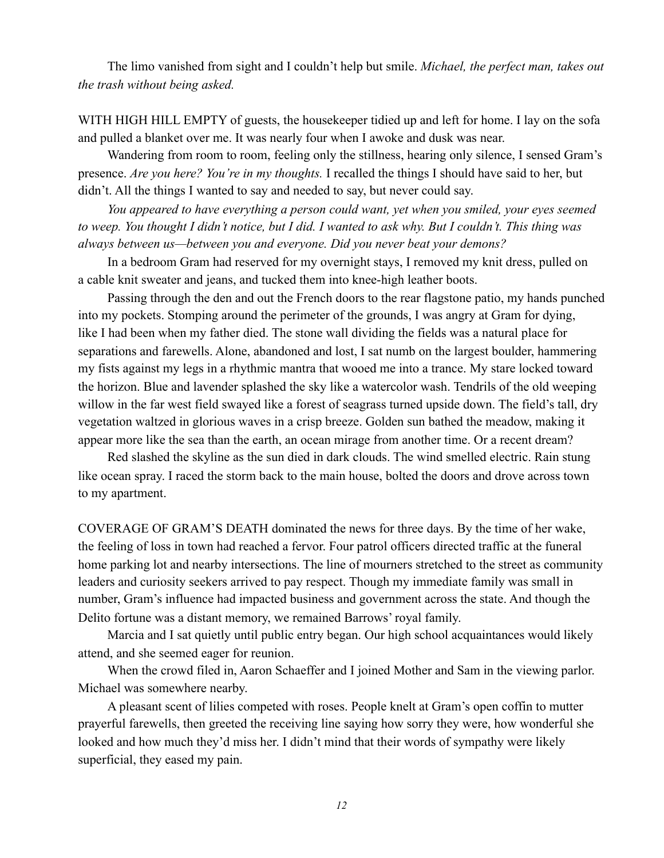The limo vanished from sight and I couldn't help but smile. *Michael, the perfect man, takes out the trash without being asked.*

WITH HIGH HILL EMPTY of guests, the housekeeper tidied up and left for home. I lay on the sofa and pulled a blanket over me. It was nearly four when I awoke and dusk was near.

Wandering from room to room, feeling only the stillness, hearing only silence, I sensed Gram's presence. *Are you here? You're in my thoughts.* I recalled the things I should have said to her, but didn't. All the things I wanted to say and needed to say, but never could say.

*You appeared to have everything a person could want, yet when you smiled, your eyes seemed to weep. You thought I didn't notice, but I did. I wanted to ask why. But I couldn't. This thing was always between us—between you and everyone. Did you never beat your demons?* 

In a bedroom Gram had reserved for my overnight stays, I removed my knit dress, pulled on a cable knit sweater and jeans, and tucked them into knee-high leather boots.

Passing through the den and out the French doors to the rear flagstone patio, my hands punched into my pockets. Stomping around the perimeter of the grounds, I was angry at Gram for dying, like I had been when my father died. The stone wall dividing the fields was a natural place for separations and farewells. Alone, abandoned and lost, I sat numb on the largest boulder, hammering my fists against my legs in a rhythmic mantra that wooed me into a trance. My stare locked toward the horizon. Blue and lavender splashed the sky like a watercolor wash. Tendrils of the old weeping willow in the far west field swayed like a forest of seagrass turned upside down. The field's tall, dry vegetation waltzed in glorious waves in a crisp breeze. Golden sun bathed the meadow, making it appear more like the sea than the earth, an ocean mirage from another time. Or a recent dream?

Red slashed the skyline as the sun died in dark clouds. The wind smelled electric. Rain stung like ocean spray. I raced the storm back to the main house, bolted the doors and drove across town to my apartment.

COVERAGE OF GRAM'S DEATH dominated the news for three days. By the time of her wake, the feeling of loss in town had reached a fervor. Four patrol officers directed traffic at the funeral home parking lot and nearby intersections. The line of mourners stretched to the street as community leaders and curiosity seekers arrived to pay respect. Though my immediate family was small in number, Gram's influence had impacted business and government across the state. And though the Delito fortune was a distant memory, we remained Barrows' royal family.

Marcia and I sat quietly until public entry began. Our high school acquaintances would likely attend, and she seemed eager for reunion.

When the crowd filed in, Aaron Schaeffer and I joined Mother and Sam in the viewing parlor. Michael was somewhere nearby.

A pleasant scent of lilies competed with roses. People knelt at Gram's open coffin to mutter prayerful farewells, then greeted the receiving line saying how sorry they were, how wonderful she looked and how much they'd miss her. I didn't mind that their words of sympathy were likely superficial, they eased my pain.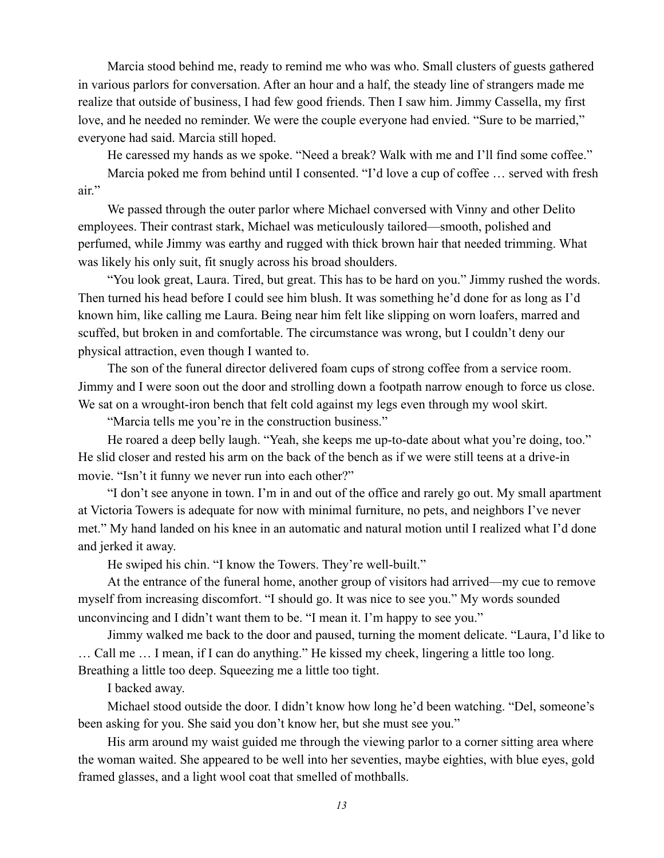Marcia stood behind me, ready to remind me who was who. Small clusters of guests gathered in various parlors for conversation. After an hour and a half, the steady line of strangers made me realize that outside of business, I had few good friends. Then I saw him. Jimmy Cassella, my first love, and he needed no reminder. We were the couple everyone had envied. "Sure to be married," everyone had said. Marcia still hoped.

He caressed my hands as we spoke. "Need a break? Walk with me and I'll find some coffee."

Marcia poked me from behind until I consented. "I'd love a cup of coffee … served with fresh air."

We passed through the outer parlor where Michael conversed with Vinny and other Delito employees. Their contrast stark, Michael was meticulously tailored—smooth, polished and perfumed, while Jimmy was earthy and rugged with thick brown hair that needed trimming. What was likely his only suit, fit snugly across his broad shoulders.

"You look great, Laura. Tired, but great. This has to be hard on you." Jimmy rushed the words. Then turned his head before I could see him blush. It was something he'd done for as long as I'd known him, like calling me Laura. Being near him felt like slipping on worn loafers, marred and scuffed, but broken in and comfortable. The circumstance was wrong, but I couldn't deny our physical attraction, even though I wanted to.

The son of the funeral director delivered foam cups of strong coffee from a service room. Jimmy and I were soon out the door and strolling down a footpath narrow enough to force us close. We sat on a wrought-iron bench that felt cold against my legs even through my wool skirt.

"Marcia tells me you're in the construction business."

He roared a deep belly laugh. "Yeah, she keeps me up-to-date about what you're doing, too." He slid closer and rested his arm on the back of the bench as if we were still teens at a drive-in movie. "Isn't it funny we never run into each other?"

"I don't see anyone in town. I'm in and out of the office and rarely go out. My small apartment at Victoria Towers is adequate for now with minimal furniture, no pets, and neighbors I've never met." My hand landed on his knee in an automatic and natural motion until I realized what I'd done and jerked it away.

He swiped his chin. "I know the Towers. They're well-built."

At the entrance of the funeral home, another group of visitors had arrived—my cue to remove myself from increasing discomfort. "I should go. It was nice to see you." My words sounded unconvincing and I didn't want them to be. "I mean it. I'm happy to see you."

Jimmy walked me back to the door and paused, turning the moment delicate. "Laura, I'd like to … Call me … I mean, if I can do anything." He kissed my cheek, lingering a little too long. Breathing a little too deep. Squeezing me a little too tight.

I backed away.

Michael stood outside the door. I didn't know how long he'd been watching. "Del, someone's been asking for you. She said you don't know her, but she must see you."

His arm around my waist guided me through the viewing parlor to a corner sitting area where the woman waited. She appeared to be well into her seventies, maybe eighties, with blue eyes, gold framed glasses, and a light wool coat that smelled of mothballs.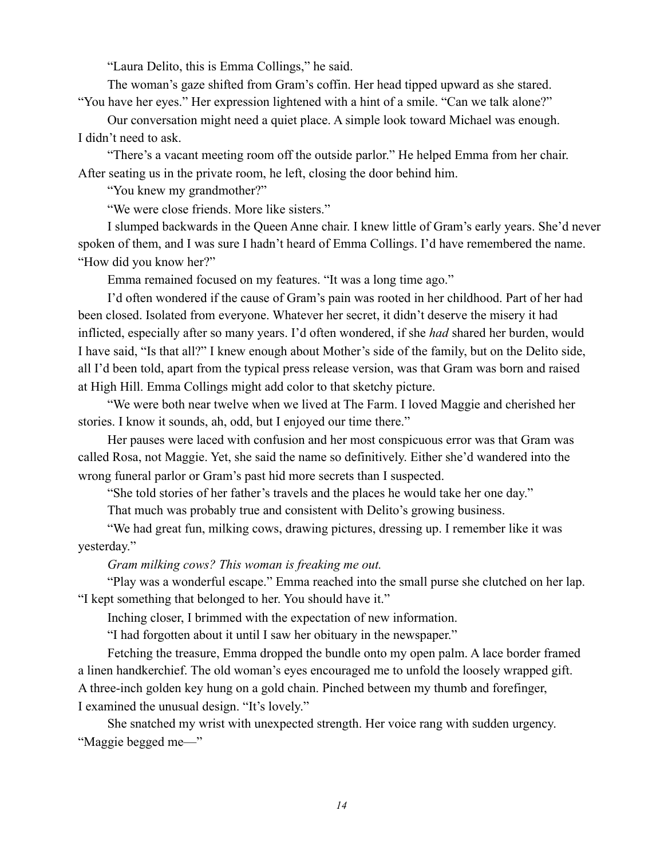"Laura Delito, this is Emma Collings," he said.

The woman's gaze shifted from Gram's coffin. Her head tipped upward as she stared. "You have her eyes." Her expression lightened with a hint of a smile. "Can we talk alone?"

Our conversation might need a quiet place. A simple look toward Michael was enough. I didn't need to ask.

"There's a vacant meeting room off the outside parlor." He helped Emma from her chair. After seating us in the private room, he left, closing the door behind him.

"You knew my grandmother?"

"We were close friends. More like sisters."

I slumped backwards in the Queen Anne chair. I knew little of Gram's early years. She'd never spoken of them, and I was sure I hadn't heard of Emma Collings. I'd have remembered the name. "How did you know her?"

Emma remained focused on my features. "It was a long time ago."

I'd often wondered if the cause of Gram's pain was rooted in her childhood. Part of her had been closed. Isolated from everyone. Whatever her secret, it didn't deserve the misery it had inflicted, especially after so many years. I'd often wondered, if she *had* shared her burden, would I have said, "Is that all?" I knew enough about Mother's side of the family, but on the Delito side, all I'd been told, apart from the typical press release version, was that Gram was born and raised at High Hill. Emma Collings might add color to that sketchy picture.

"We were both near twelve when we lived at The Farm. I loved Maggie and cherished her stories. I know it sounds, ah, odd, but I enjoyed our time there."

Her pauses were laced with confusion and her most conspicuous error was that Gram was called Rosa, not Maggie. Yet, she said the name so definitively. Either she'd wandered into the wrong funeral parlor or Gram's past hid more secrets than I suspected.

"She told stories of her father's travels and the places he would take her one day."

That much was probably true and consistent with Delito's growing business.

"We had great fun, milking cows, drawing pictures, dressing up. I remember like it was yesterday."

*Gram milking cows? This woman is freaking me out.* 

"Play was a wonderful escape." Emma reached into the small purse she clutched on her lap. "I kept something that belonged to her. You should have it."

Inching closer, I brimmed with the expectation of new information.

"I had forgotten about it until I saw her obituary in the newspaper."

Fetching the treasure, Emma dropped the bundle onto my open palm. A lace border framed a linen handkerchief. The old woman's eyes encouraged me to unfold the loosely wrapped gift. A three-inch golden key hung on a gold chain. Pinched between my thumb and forefinger, I examined the unusual design. "It's lovely."

She snatched my wrist with unexpected strength. Her voice rang with sudden urgency. "Maggie begged me—"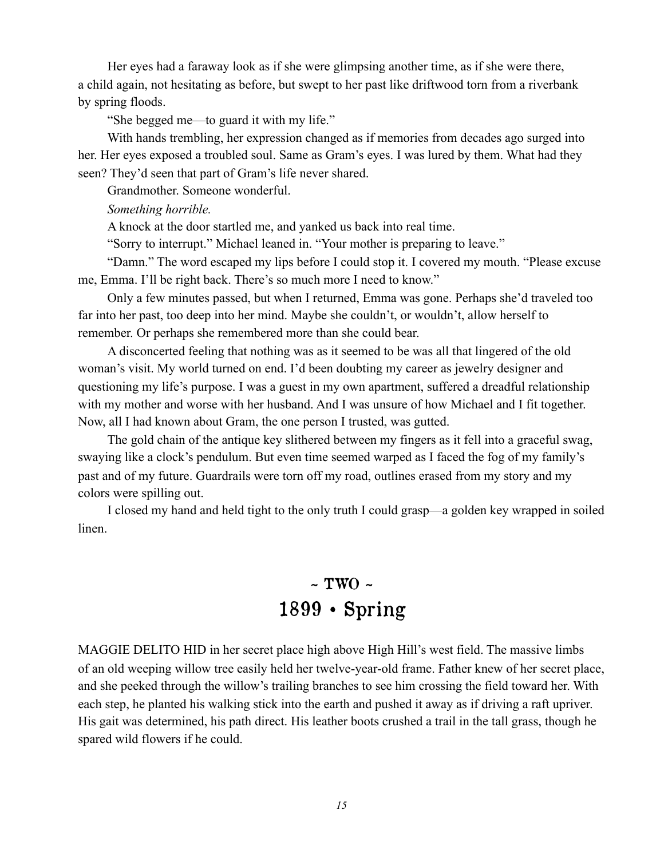Her eyes had a faraway look as if she were glimpsing another time, as if she were there, a child again, not hesitating as before, but swept to her past like driftwood torn from a riverbank by spring floods.

"She begged me—to guard it with my life."

With hands trembling, her expression changed as if memories from decades ago surged into her. Her eyes exposed a troubled soul. Same as Gram's eyes. I was lured by them. What had they seen? They'd seen that part of Gram's life never shared.

Grandmother. Someone wonderful.

#### *Something horrible.*

A knock at the door startled me, and yanked us back into real time.

"Sorry to interrupt." Michael leaned in. "Your mother is preparing to leave."

"Damn." The word escaped my lips before I could stop it. I covered my mouth. "Please excuse me, Emma. I'll be right back. There's so much more I need to know."

Only a few minutes passed, but when I returned, Emma was gone. Perhaps she'd traveled too far into her past, too deep into her mind. Maybe she couldn't, or wouldn't, allow herself to remember. Or perhaps she remembered more than she could bear.

A disconcerted feeling that nothing was as it seemed to be was all that lingered of the old woman's visit. My world turned on end. I'd been doubting my career as jewelry designer and questioning my life's purpose. I was a guest in my own apartment, suffered a dreadful relationship with my mother and worse with her husband. And I was unsure of how Michael and I fit together. Now, all I had known about Gram, the one person I trusted, was gutted.

The gold chain of the antique key slithered between my fingers as it fell into a graceful swag, swaying like a clock's pendulum. But even time seemed warped as I faced the fog of my family's past and of my future. Guardrails were torn off my road, outlines erased from my story and my colors were spilling out.

I closed my hand and held tight to the only truth I could grasp—a golden key wrapped in soiled linen.

### $\sim$  TWO  $\sim$ 1899 • Spring

MAGGIE DELITO HID in her secret place high above High Hill's west field. The massive limbs of an old weeping willow tree easily held her twelve-year-old frame. Father knew of her secret place, and she peeked through the willow's trailing branches to see him crossing the field toward her. With each step, he planted his walking stick into the earth and pushed it away as if driving a raft upriver. His gait was determined, his path direct. His leather boots crushed a trail in the tall grass, though he spared wild flowers if he could.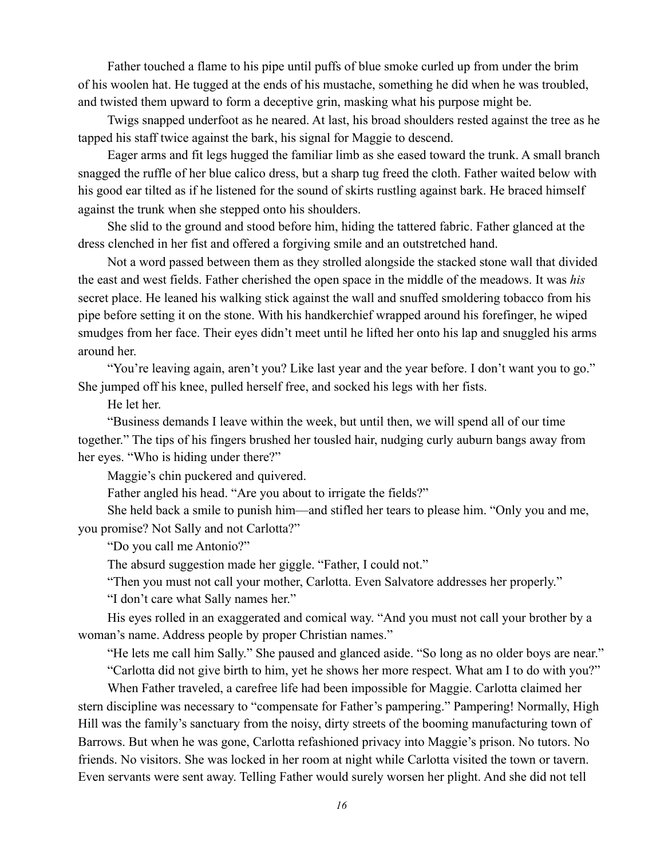Father touched a flame to his pipe until puffs of blue smoke curled up from under the brim of his woolen hat. He tugged at the ends of his mustache, something he did when he was troubled, and twisted them upward to form a deceptive grin, masking what his purpose might be.

Twigs snapped underfoot as he neared. At last, his broad shoulders rested against the tree as he tapped his staff twice against the bark, his signal for Maggie to descend.

Eager arms and fit legs hugged the familiar limb as she eased toward the trunk. A small branch snagged the ruffle of her blue calico dress, but a sharp tug freed the cloth. Father waited below with his good ear tilted as if he listened for the sound of skirts rustling against bark. He braced himself against the trunk when she stepped onto his shoulders.

She slid to the ground and stood before him, hiding the tattered fabric. Father glanced at the dress clenched in her fist and offered a forgiving smile and an outstretched hand.

Not a word passed between them as they strolled alongside the stacked stone wall that divided the east and west fields. Father cherished the open space in the middle of the meadows. It was *his* secret place. He leaned his walking stick against the wall and snuffed smoldering tobacco from his pipe before setting it on the stone. With his handkerchief wrapped around his forefinger, he wiped smudges from her face. Their eyes didn't meet until he lifted her onto his lap and snuggled his arms around her.

"You're leaving again, aren't you? Like last year and the year before. I don't want you to go." She jumped off his knee, pulled herself free, and socked his legs with her fists.

He let her.

"Business demands I leave within the week, but until then, we will spend all of our time together." The tips of his fingers brushed her tousled hair, nudging curly auburn bangs away from her eyes. "Who is hiding under there?"

Maggie's chin puckered and quivered.

Father angled his head. "Are you about to irrigate the fields?"

She held back a smile to punish him—and stifled her tears to please him. "Only you and me, you promise? Not Sally and not Carlotta?"

"Do you call me Antonio?"

The absurd suggestion made her giggle. "Father, I could not."

"Then you must not call your mother, Carlotta. Even Salvatore addresses her properly."

"I don't care what Sally names her."

His eyes rolled in an exaggerated and comical way. "And you must not call your brother by a woman's name. Address people by proper Christian names."

"He lets me call him Sally." She paused and glanced aside. "So long as no older boys are near."

"Carlotta did not give birth to him, yet he shows her more respect. What am I to do with you?"

When Father traveled, a carefree life had been impossible for Maggie. Carlotta claimed her stern discipline was necessary to "compensate for Father's pampering." Pampering! Normally, High Hill was the family's sanctuary from the noisy, dirty streets of the booming manufacturing town of Barrows. But when he was gone, Carlotta refashioned privacy into Maggie's prison. No tutors. No friends. No visitors. She was locked in her room at night while Carlotta visited the town or tavern. Even servants were sent away. Telling Father would surely worsen her plight. And she did not tell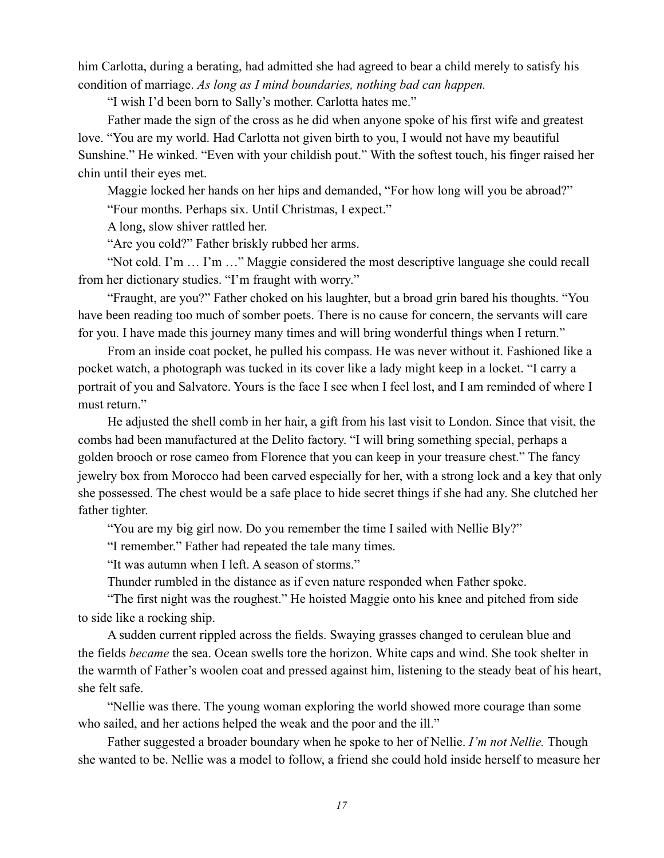him Carlotta, during a berating, had admitted she had agreed to bear a child merely to satisfy his condition of marriage. *As long as I mind boundaries, nothing bad can happen.*

"I wish I'd been born to Sally's mother. Carlotta hates me."

Father made the sign of the cross as he did when anyone spoke of his first wife and greatest love. "You are my world. Had Carlotta not given birth to you, I would not have my beautiful Sunshine." He winked. "Even with your childish pout." With the softest touch, his finger raised her chin until their eyes met.

Maggie locked her hands on her hips and demanded, "For how long will you be abroad?"

"Four months. Perhaps six. Until Christmas, I expect."

A long, slow shiver rattled her.

"Are you cold?" Father briskly rubbed her arms.

"Not cold. I'm … I'm …" Maggie considered the most descriptive language she could recall from her dictionary studies. "I'm fraught with worry."

"Fraught, are you?" Father choked on his laughter, but a broad grin bared his thoughts. "You have been reading too much of somber poets. There is no cause for concern, the servants will care for you. I have made this journey many times and will bring wonderful things when I return."

From an inside coat pocket, he pulled his compass. He was never without it. Fashioned like a pocket watch, a photograph was tucked in its cover like a lady might keep in a locket. "I carry a portrait of you and Salvatore. Yours is the face I see when I feel lost, and I am reminded of where I must return."

He adjusted the shell comb in her hair, a gift from his last visit to London. Since that visit, the combs had been manufactured at the Delito factory. "I will bring something special, perhaps a golden brooch or rose cameo from Florence that you can keep in your treasure chest." The fancy jewelry box from Morocco had been carved especially for her, with a strong lock and a key that only she possessed. The chest would be a safe place to hide secret things if she had any. She clutched her father tighter.

"You are my big girl now. Do you remember the time I sailed with Nellie Bly?"

"I remember." Father had repeated the tale many times.

"It was autumn when I left. A season of storms."

Thunder rumbled in the distance as if even nature responded when Father spoke.

"The first night was the roughest." He hoisted Maggie onto his knee and pitched from side to side like a rocking ship.

A sudden current rippled across the fields. Swaying grasses changed to cerulean blue and the fields *became* the sea. Ocean swells tore the horizon. White caps and wind. She took shelter in the warmth of Father's woolen coat and pressed against him, listening to the steady beat of his heart, she felt safe.

"Nellie was there. The young woman exploring the world showed more courage than some who sailed, and her actions helped the weak and the poor and the ill."

Father suggested a broader boundary when he spoke to her of Nellie. *I'm not Nellie.* Though she wanted to be. Nellie was a model to follow, a friend she could hold inside herself to measure her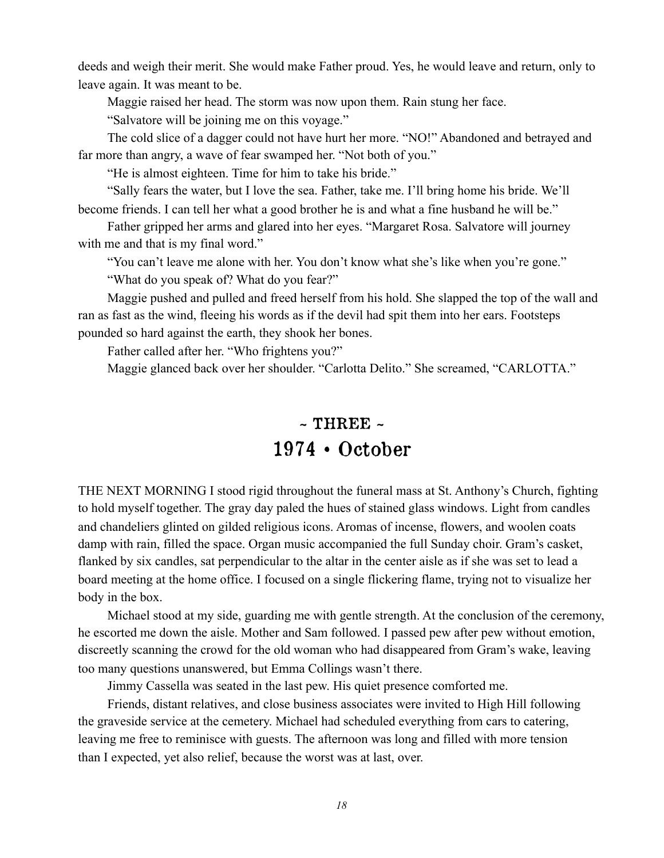deeds and weigh their merit. She would make Father proud. Yes, he would leave and return, only to leave again. It was meant to be.

Maggie raised her head. The storm was now upon them. Rain stung her face.

"Salvatore will be joining me on this voyage."

The cold slice of a dagger could not have hurt her more. "NO!" Abandoned and betrayed and far more than angry, a wave of fear swamped her. "Not both of you."

"He is almost eighteen. Time for him to take his bride."

"Sally fears the water, but I love the sea. Father, take me. I'll bring home his bride. We'll become friends. I can tell her what a good brother he is and what a fine husband he will be."

Father gripped her arms and glared into her eyes. "Margaret Rosa. Salvatore will journey with me and that is my final word."

"You can't leave me alone with her. You don't know what she's like when you're gone."

"What do you speak of? What do you fear?"

Maggie pushed and pulled and freed herself from his hold. She slapped the top of the wall and ran as fast as the wind, fleeing his words as if the devil had spit them into her ears. Footsteps pounded so hard against the earth, they shook her bones.

Father called after her. "Who frightens you?"

Maggie glanced back over her shoulder. "Carlotta Delito." She screamed, "CARLOTTA."

#### $\sim$  THREE  $\sim$ 1974 • October

THE NEXT MORNING I stood rigid throughout the funeral mass at St. Anthony's Church, fighting to hold myself together. The gray day paled the hues of stained glass windows. Light from candles and chandeliers glinted on gilded religious icons. Aromas of incense, flowers, and woolen coats damp with rain, filled the space. Organ music accompanied the full Sunday choir. Gram's casket, flanked by six candles, sat perpendicular to the altar in the center aisle as if she was set to lead a board meeting at the home office. I focused on a single flickering flame, trying not to visualize her body in the box.

Michael stood at my side, guarding me with gentle strength. At the conclusion of the ceremony, he escorted me down the aisle. Mother and Sam followed. I passed pew after pew without emotion, discreetly scanning the crowd for the old woman who had disappeared from Gram's wake, leaving too many questions unanswered, but Emma Collings wasn't there.

Jimmy Cassella was seated in the last pew. His quiet presence comforted me.

Friends, distant relatives, and close business associates were invited to High Hill following the graveside service at the cemetery. Michael had scheduled everything from cars to catering, leaving me free to reminisce with guests. The afternoon was long and filled with more tension than I expected, yet also relief, because the worst was at last, over.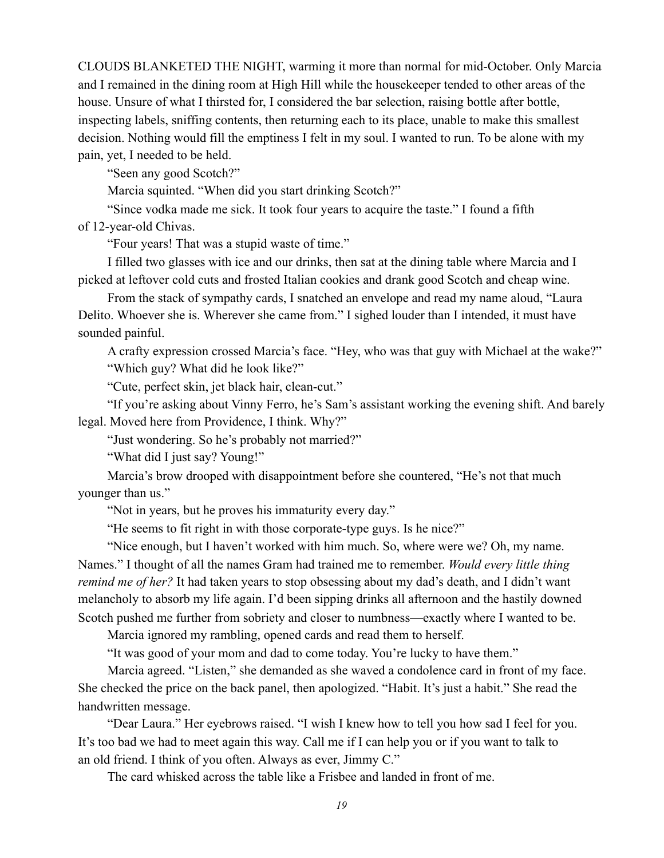CLOUDS BLANKETED THE NIGHT, warming it more than normal for mid-October. Only Marcia and I remained in the dining room at High Hill while the housekeeper tended to other areas of the house. Unsure of what I thirsted for, I considered the bar selection, raising bottle after bottle, inspecting labels, sniffing contents, then returning each to its place, unable to make this smallest decision. Nothing would fill the emptiness I felt in my soul. I wanted to run. To be alone with my pain, yet, I needed to be held.

"Seen any good Scotch?"

Marcia squinted. "When did you start drinking Scotch?"

"Since vodka made me sick. It took four years to acquire the taste." I found a fifth of 12-year-old Chivas.

"Four years! That was a stupid waste of time."

I filled two glasses with ice and our drinks, then sat at the dining table where Marcia and I picked at leftover cold cuts and frosted Italian cookies and drank good Scotch and cheap wine.

From the stack of sympathy cards, I snatched an envelope and read my name aloud, "Laura Delito. Whoever she is. Wherever she came from." I sighed louder than I intended, it must have sounded painful.

A crafty expression crossed Marcia's face. "Hey, who was that guy with Michael at the wake?" "Which guy? What did he look like?"

"Cute, perfect skin, jet black hair, clean-cut."

"If you're asking about Vinny Ferro, he's Sam's assistant working the evening shift. And barely legal. Moved here from Providence, I think. Why?"

"Just wondering. So he's probably not married?"

"What did I just say? Young!"

Marcia's brow drooped with disappointment before she countered, "He's not that much younger than us."

"Not in years, but he proves his immaturity every day."

"He seems to fit right in with those corporate-type guys. Is he nice?"

"Nice enough, but I haven't worked with him much. So, where were we? Oh, my name. Names." I thought of all the names Gram had trained me to remember. *Would every little thing remind me of her?* It had taken years to stop obsessing about my dad's death, and I didn't want melancholy to absorb my life again. I'd been sipping drinks all afternoon and the hastily downed Scotch pushed me further from sobriety and closer to numbness—exactly where I wanted to be.

Marcia ignored my rambling, opened cards and read them to herself.

"It was good of your mom and dad to come today. You're lucky to have them."

Marcia agreed. "Listen," she demanded as she waved a condolence card in front of my face. She checked the price on the back panel, then apologized. "Habit. It's just a habit." She read the handwritten message.

"Dear Laura." Her eyebrows raised. "I wish I knew how to tell you how sad I feel for you. It's too bad we had to meet again this way. Call me if I can help you or if you want to talk to an old friend. I think of you often. Always as ever, Jimmy C."

The card whisked across the table like a Frisbee and landed in front of me.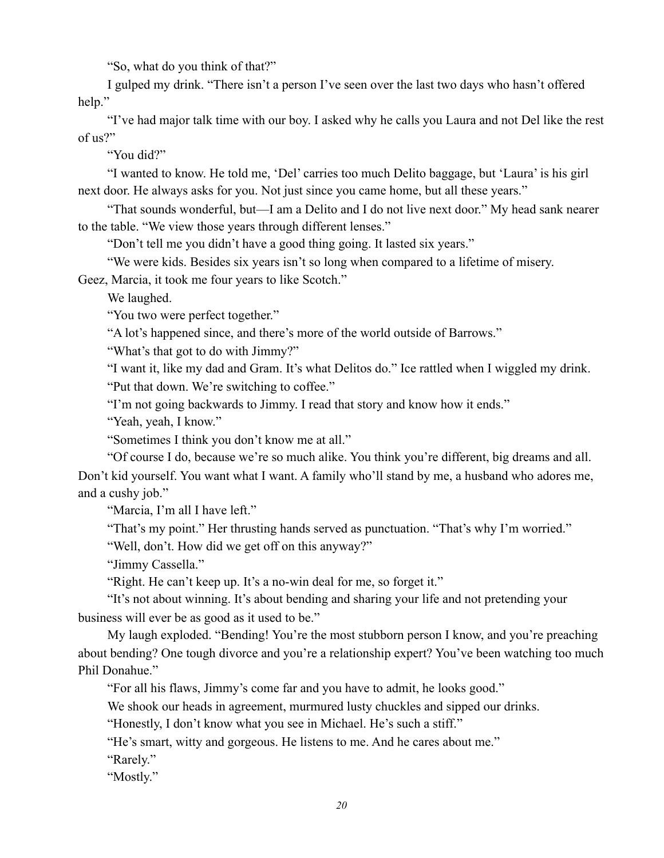"So, what do you think of that?"

I gulped my drink. "There isn't a person I've seen over the last two days who hasn't offered help."

"I've had major talk time with our boy. I asked why he calls you Laura and not Del like the rest of us?"

"You did?"

"I wanted to know. He told me, 'Del' carries too much Delito baggage, but 'Laura' is his girl next door. He always asks for you. Not just since you came home, but all these years."

"That sounds wonderful, but—I am a Delito and I do not live next door." My head sank nearer to the table. "We view those years through different lenses."

"Don't tell me you didn't have a good thing going. It lasted six years."

"We were kids. Besides six years isn't so long when compared to a lifetime of misery.

Geez, Marcia, it took me four years to like Scotch."

We laughed.

"You two were perfect together."

"A lot's happened since, and there's more of the world outside of Barrows."

"What's that got to do with Jimmy?"

"I want it, like my dad and Gram. It's what Delitos do." Ice rattled when I wiggled my drink.

"Put that down. We're switching to coffee."

"I'm not going backwards to Jimmy. I read that story and know how it ends."

"Yeah, yeah, I know."

"Sometimes I think you don't know me at all."

"Of course I do, because we're so much alike. You think you're different, big dreams and all.

Don't kid yourself. You want what I want. A family who'll stand by me, a husband who adores me, and a cushy job."

"Marcia, I'm all I have left."

"That's my point." Her thrusting hands served as punctuation. "That's why I'm worried."

"Well, don't. How did we get off on this anyway?"

"Jimmy Cassella."

"Right. He can't keep up. It's a no-win deal for me, so forget it."

"It's not about winning. It's about bending and sharing your life and not pretending your business will ever be as good as it used to be."

My laugh exploded. "Bending! You're the most stubborn person I know, and you're preaching about bending? One tough divorce and you're a relationship expert? You've been watching too much Phil Donahue."

"For all his flaws, Jimmy's come far and you have to admit, he looks good."

We shook our heads in agreement, murmured lusty chuckles and sipped our drinks.

"Honestly, I don't know what you see in Michael. He's such a stiff."

"He's smart, witty and gorgeous. He listens to me. And he cares about me."

"Rarely."

"Mostly."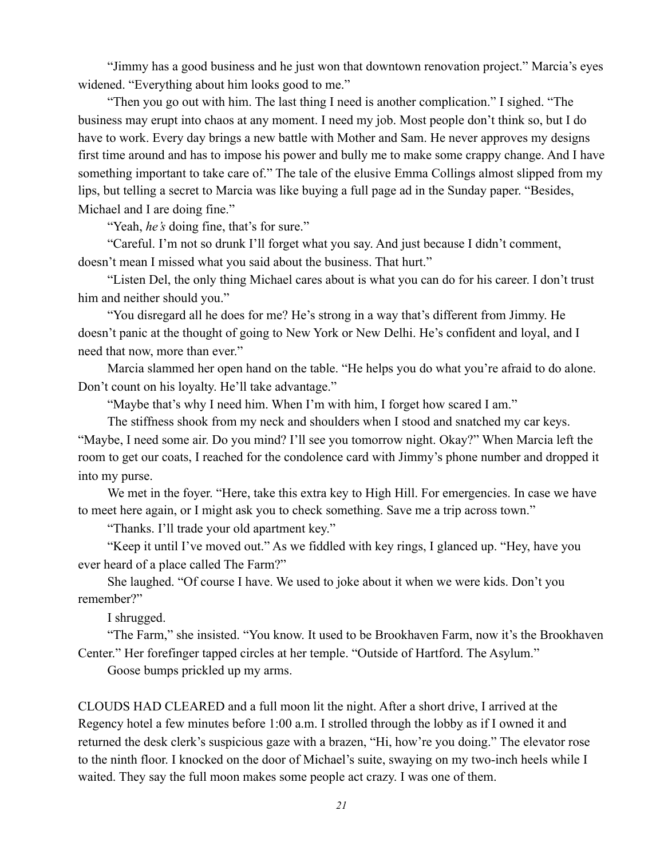"Jimmy has a good business and he just won that downtown renovation project." Marcia's eyes widened. "Everything about him looks good to me."

"Then you go out with him. The last thing I need is another complication." I sighed. "The business may erupt into chaos at any moment. I need my job. Most people don't think so, but I do have to work. Every day brings a new battle with Mother and Sam. He never approves my designs first time around and has to impose his power and bully me to make some crappy change. And I have something important to take care of." The tale of the elusive Emma Collings almost slipped from my lips, but telling a secret to Marcia was like buying a full page ad in the Sunday paper. "Besides, Michael and I are doing fine."

"Yeah, *he's* doing fine, that's for sure."

"Careful. I'm not so drunk I'll forget what you say. And just because I didn't comment, doesn't mean I missed what you said about the business. That hurt."

"Listen Del, the only thing Michael cares about is what you can do for his career. I don't trust him and neither should you."

"You disregard all he does for me? He's strong in a way that's different from Jimmy. He doesn't panic at the thought of going to New York or New Delhi. He's confident and loyal, and I need that now, more than ever."

Marcia slammed her open hand on the table. "He helps you do what you're afraid to do alone. Don't count on his loyalty. He'll take advantage."

"Maybe that's why I need him. When I'm with him, I forget how scared I am."

The stiffness shook from my neck and shoulders when I stood and snatched my car keys.

"Maybe, I need some air. Do you mind? I'll see you tomorrow night. Okay?" When Marcia left the room to get our coats, I reached for the condolence card with Jimmy's phone number and dropped it into my purse.

We met in the foyer. "Here, take this extra key to High Hill. For emergencies. In case we have to meet here again, or I might ask you to check something. Save me a trip across town."

"Thanks. I'll trade your old apartment key."

"Keep it until I've moved out." As we fiddled with key rings, I glanced up. "Hey, have you ever heard of a place called The Farm?"

She laughed. "Of course I have. We used to joke about it when we were kids. Don't you remember?"

I shrugged.

"The Farm," she insisted. "You know. It used to be Brookhaven Farm, now it's the Brookhaven Center." Her forefinger tapped circles at her temple. "Outside of Hartford. The Asylum."

Goose bumps prickled up my arms.

CLOUDS HAD CLEARED and a full moon lit the night. After a short drive, I arrived at the Regency hotel a few minutes before 1:00 a.m. I strolled through the lobby as if I owned it and returned the desk clerk's suspicious gaze with a brazen, "Hi, how're you doing." The elevator rose to the ninth floor. I knocked on the door of Michael's suite, swaying on my two-inch heels while I waited. They say the full moon makes some people act crazy. I was one of them.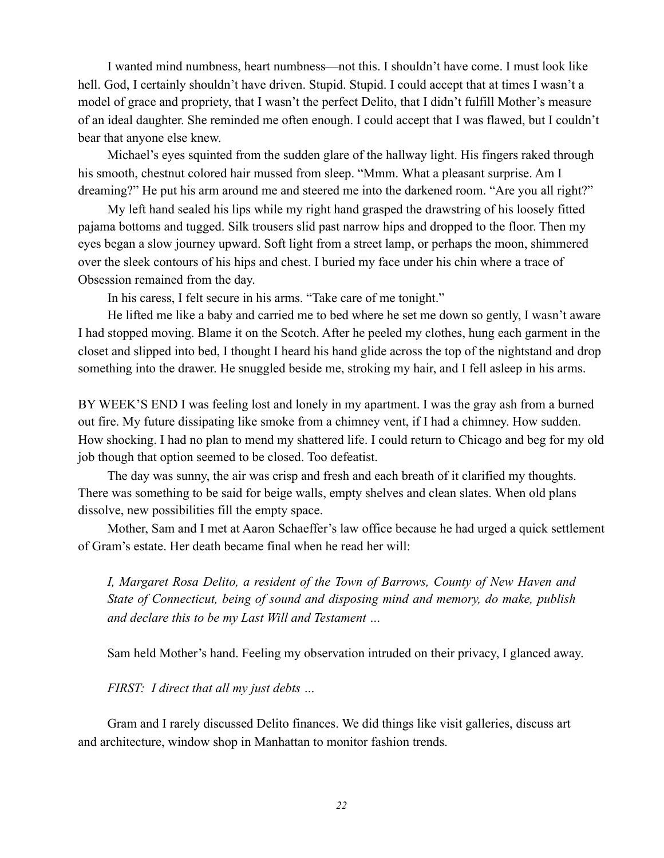I wanted mind numbness, heart numbness—not this. I shouldn't have come. I must look like hell. God, I certainly shouldn't have driven. Stupid. Stupid. I could accept that at times I wasn't a model of grace and propriety, that I wasn't the perfect Delito, that I didn't fulfill Mother's measure of an ideal daughter. She reminded me often enough. I could accept that I was flawed, but I couldn't bear that anyone else knew.

Michael's eyes squinted from the sudden glare of the hallway light. His fingers raked through his smooth, chestnut colored hair mussed from sleep. "Mmm. What a pleasant surprise. Am I dreaming?" He put his arm around me and steered me into the darkened room. "Are you all right?"

My left hand sealed his lips while my right hand grasped the drawstring of his loosely fitted pajama bottoms and tugged. Silk trousers slid past narrow hips and dropped to the floor. Then my eyes began a slow journey upward. Soft light from a street lamp, or perhaps the moon, shimmered over the sleek contours of his hips and chest. I buried my face under his chin where a trace of Obsession remained from the day.

In his caress, I felt secure in his arms. "Take care of me tonight."

He lifted me like a baby and carried me to bed where he set me down so gently, I wasn't aware I had stopped moving. Blame it on the Scotch. After he peeled my clothes, hung each garment in the closet and slipped into bed, I thought I heard his hand glide across the top of the nightstand and drop something into the drawer. He snuggled beside me, stroking my hair, and I fell asleep in his arms.

BY WEEK'S END I was feeling lost and lonely in my apartment. I was the gray ash from a burned out fire. My future dissipating like smoke from a chimney vent, if I had a chimney. How sudden. How shocking. I had no plan to mend my shattered life. I could return to Chicago and beg for my old job though that option seemed to be closed. Too defeatist.

The day was sunny, the air was crisp and fresh and each breath of it clarified my thoughts. There was something to be said for beige walls, empty shelves and clean slates. When old plans dissolve, new possibilities fill the empty space.

Mother, Sam and I met at Aaron Schaeffer's law office because he had urged a quick settlement of Gram's estate. Her death became final when he read her will:

*I, Margaret Rosa Delito, a resident of the Town of Barrows, County of New Haven and State of Connecticut, being of sound and disposing mind and memory, do make, publish and declare this to be my Last Will and Testament …* 

Sam held Mother's hand. Feeling my observation intruded on their privacy, I glanced away.

*FIRST: I direct that all my just debts …* 

Gram and I rarely discussed Delito finances. We did things like visit galleries, discuss art and architecture, window shop in Manhattan to monitor fashion trends.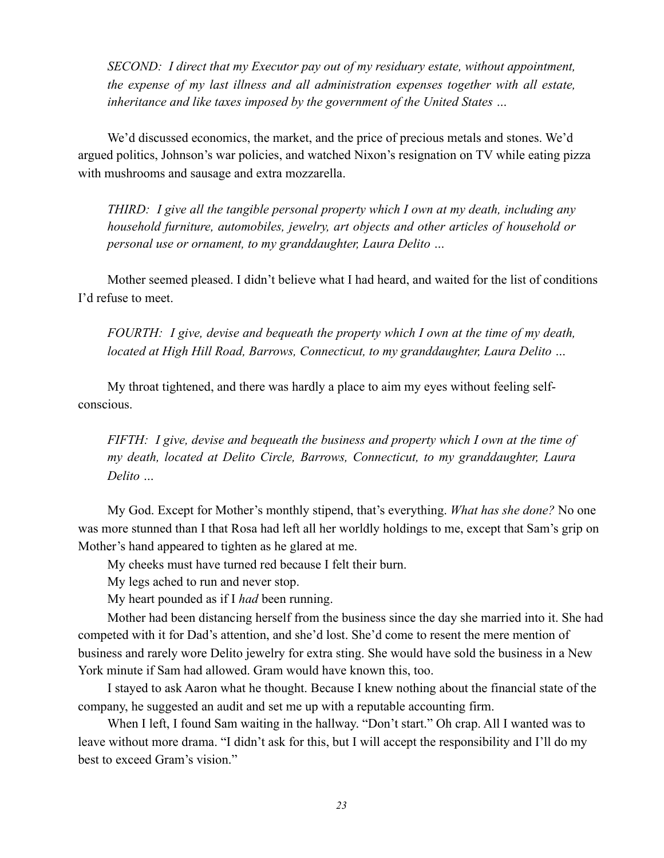*SECOND: I direct that my Executor pay out of my residuary estate, without appointment, the expense of my last illness and all administration expenses together with all estate, inheritance and like taxes imposed by the government of the United States …* 

We'd discussed economics, the market, and the price of precious metals and stones. We'd argued politics, Johnson's war policies, and watched Nixon's resignation on TV while eating pizza with mushrooms and sausage and extra mozzarella.

*THIRD: I give all the tangible personal property which I own at my death, including any household furniture, automobiles, jewelry, art objects and other articles of household or personal use or ornament, to my granddaughter, Laura Delito …* 

Mother seemed pleased. I didn't believe what I had heard, and waited for the list of conditions I'd refuse to meet.

*FOURTH: I give, devise and bequeath the property which I own at the time of my death, located at High Hill Road, Barrows, Connecticut, to my granddaughter, Laura Delito …* 

My throat tightened, and there was hardly a place to aim my eyes without feeling selfconscious.

*FIFTH: I give, devise and bequeath the business and property which I own at the time of my death, located at Delito Circle, Barrows, Connecticut, to my granddaughter, Laura Delito …* 

My God. Except for Mother's monthly stipend, that's everything. *What has she done?* No one was more stunned than I that Rosa had left all her worldly holdings to me, except that Sam's grip on Mother's hand appeared to tighten as he glared at me.

My cheeks must have turned red because I felt their burn.

My legs ached to run and never stop.

My heart pounded as if I *had* been running.

Mother had been distancing herself from the business since the day she married into it. She had competed with it for Dad's attention, and she'd lost. She'd come to resent the mere mention of business and rarely wore Delito jewelry for extra sting. She would have sold the business in a New York minute if Sam had allowed. Gram would have known this, too.

I stayed to ask Aaron what he thought. Because I knew nothing about the financial state of the company, he suggested an audit and set me up with a reputable accounting firm.

When I left, I found Sam waiting in the hallway. "Don't start." Oh crap. All I wanted was to leave without more drama. "I didn't ask for this, but I will accept the responsibility and I'll do my best to exceed Gram's vision."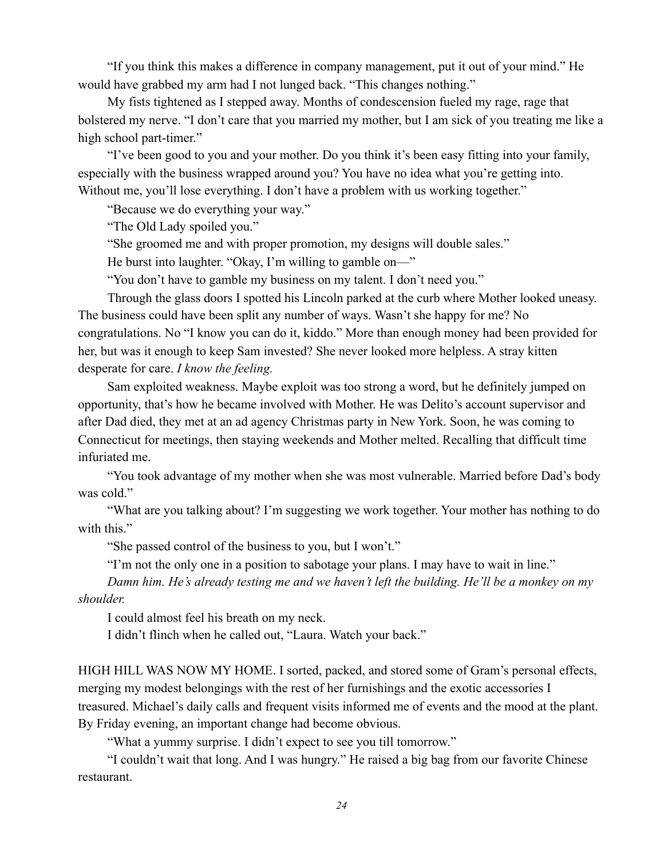"If you think this makes a difference in company management, put it out of your mind." He would have grabbed my arm had I not lunged back. "This changes nothing."

My fists tightened as I stepped away. Months of condescension fueled my rage, rage that bolstered my nerve. "I don't care that you married my mother, but I am sick of you treating me like a high school part-timer."

"I've been good to you and your mother. Do you think it's been easy fitting into your family, especially with the business wrapped around you? You have no idea what you're getting into. Without me, you'll lose everything. I don't have a problem with us working together."

"Because we do everything your way."

"The Old Lady spoiled you."

"She groomed me and with proper promotion, my designs will double sales."

He burst into laughter. "Okay, I'm willing to gamble on—"

"You don't have to gamble my business on my talent. I don't need you."

Through the glass doors I spotted his Lincoln parked at the curb where Mother looked uneasy. The business could have been split any number of ways. Wasn't she happy for me? No congratulations. No "I know you can do it, kiddo." More than enough money had been provided for her, but was it enough to keep Sam invested? She never looked more helpless. A stray kitten desperate for care. *I know the feeling.*

Sam exploited weakness. Maybe exploit was too strong a word, but he definitely jumped on opportunity, that's how he became involved with Mother. He was Delito's account supervisor and after Dad died, they met at an ad agency Christmas party in New York. Soon, he was coming to Connecticut for meetings, then staying weekends and Mother melted. Recalling that difficult time infuriated me.

"You took advantage of my mother when she was most vulnerable. Married before Dad's body was cold."

"What are you talking about? I'm suggesting we work together. Your mother has nothing to do with this."

"She passed control of the business to you, but I won't."

"I'm not the only one in a position to sabotage your plans. I may have to wait in line."

*Damn him. He's already testing me and we haven't left the building. He'll be a monkey on my shoulder.* 

I could almost feel his breath on my neck.

I didn't flinch when he called out, "Laura. Watch your back."

HIGH HILL WAS NOW MY HOME. I sorted, packed, and stored some of Gram's personal effects, merging my modest belongings with the rest of her furnishings and the exotic accessories I treasured. Michael's daily calls and frequent visits informed me of events and the mood at the plant. By Friday evening, an important change had become obvious.

"What a yummy surprise. I didn't expect to see you till tomorrow."

"I couldn't wait that long. And I was hungry." He raised a big bag from our favorite Chinese restaurant.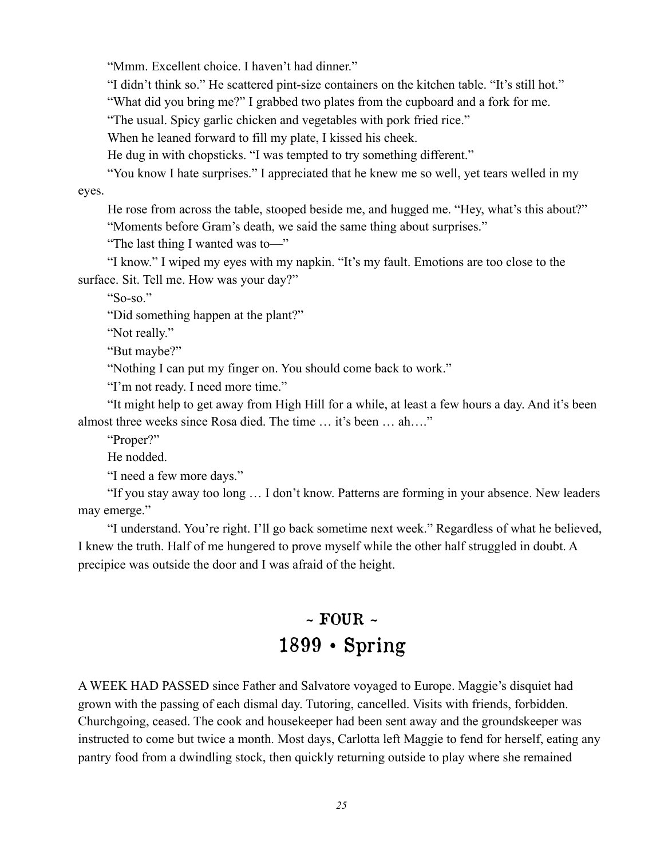"Mmm. Excellent choice. I haven't had dinner."

"I didn't think so." He scattered pint-size containers on the kitchen table. "It's still hot."

"What did you bring me?" I grabbed two plates from the cupboard and a fork for me.

"The usual. Spicy garlic chicken and vegetables with pork fried rice."

When he leaned forward to fill my plate, I kissed his cheek.

He dug in with chopsticks. "I was tempted to try something different."

"You know I hate surprises." I appreciated that he knew me so well, yet tears welled in my eyes.

He rose from across the table, stooped beside me, and hugged me. "Hey, what's this about?" "Moments before Gram's death, we said the same thing about surprises."

"The last thing I wanted was to—"

"I know." I wiped my eyes with my napkin. "It's my fault. Emotions are too close to the surface. Sit. Tell me. How was your day?"

"So-so."

"Did something happen at the plant?"

"Not really."

"But maybe?"

"Nothing I can put my finger on. You should come back to work."

"I'm not ready. I need more time."

"It might help to get away from High Hill for a while, at least a few hours a day. And it's been almost three weeks since Rosa died. The time … it's been … ah…."

"Proper?"

He nodded.

"I need a few more days."

"If you stay away too long … I don't know. Patterns are forming in your absence. New leaders may emerge."

"I understand. You're right. I'll go back sometime next week." Regardless of what he believed, I knew the truth. Half of me hungered to prove myself while the other half struggled in doubt. A precipice was outside the door and I was afraid of the height.

# $\sim$  FOUR  $\sim$ 1899 • Spring

A WEEK HAD PASSED since Father and Salvatore voyaged to Europe. Maggie's disquiet had grown with the passing of each dismal day. Tutoring, cancelled. Visits with friends, forbidden. Churchgoing, ceased. The cook and housekeeper had been sent away and the groundskeeper was instructed to come but twice a month. Most days, Carlotta left Maggie to fend for herself, eating any pantry food from a dwindling stock, then quickly returning outside to play where she remained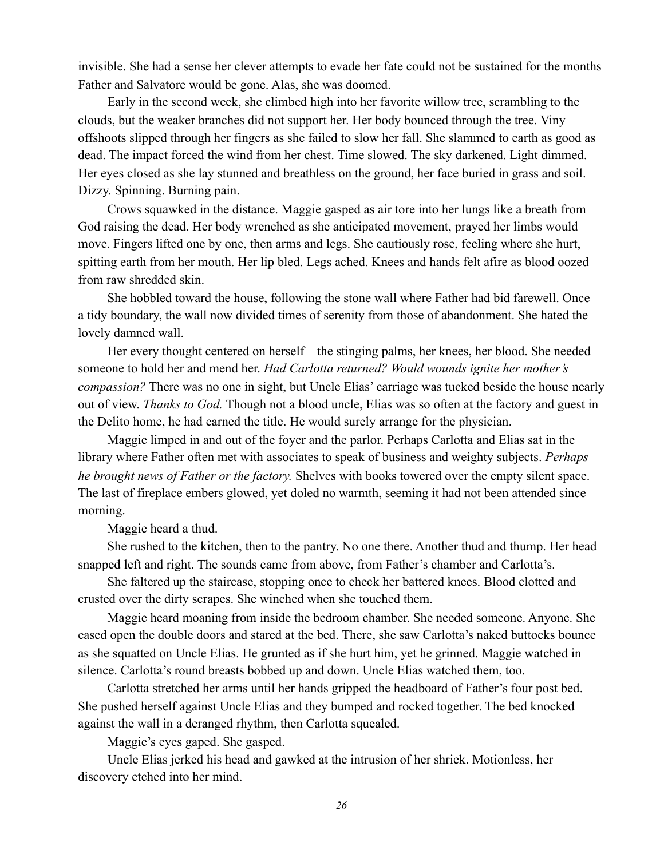invisible. She had a sense her clever attempts to evade her fate could not be sustained for the months Father and Salvatore would be gone. Alas, she was doomed.

Early in the second week, she climbed high into her favorite willow tree, scrambling to the clouds, but the weaker branches did not support her. Her body bounced through the tree. Viny offshoots slipped through her fingers as she failed to slow her fall. She slammed to earth as good as dead. The impact forced the wind from her chest. Time slowed. The sky darkened. Light dimmed. Her eyes closed as she lay stunned and breathless on the ground, her face buried in grass and soil. Dizzy. Spinning. Burning pain.

Crows squawked in the distance. Maggie gasped as air tore into her lungs like a breath from God raising the dead. Her body wrenched as she anticipated movement, prayed her limbs would move. Fingers lifted one by one, then arms and legs. She cautiously rose, feeling where she hurt, spitting earth from her mouth. Her lip bled. Legs ached. Knees and hands felt afire as blood oozed from raw shredded skin.

She hobbled toward the house, following the stone wall where Father had bid farewell. Once a tidy boundary, the wall now divided times of serenity from those of abandonment. She hated the lovely damned wall.

Her every thought centered on herself—the stinging palms, her knees, her blood. She needed someone to hold her and mend her. *Had Carlotta returned? Would wounds ignite her mother's compassion?* There was no one in sight, but Uncle Elias' carriage was tucked beside the house nearly out of view. *Thanks to God.* Though not a blood uncle, Elias was so often at the factory and guest in the Delito home, he had earned the title. He would surely arrange for the physician.

Maggie limped in and out of the foyer and the parlor. Perhaps Carlotta and Elias sat in the library where Father often met with associates to speak of business and weighty subjects. *Perhaps he brought news of Father or the factory.* Shelves with books towered over the empty silent space. The last of fireplace embers glowed, yet doled no warmth, seeming it had not been attended since morning.

Maggie heard a thud.

She rushed to the kitchen, then to the pantry. No one there. Another thud and thump. Her head snapped left and right. The sounds came from above, from Father's chamber and Carlotta's.

She faltered up the staircase, stopping once to check her battered knees. Blood clotted and crusted over the dirty scrapes. She winched when she touched them.

Maggie heard moaning from inside the bedroom chamber. She needed someone. Anyone. She eased open the double doors and stared at the bed. There, she saw Carlotta's naked buttocks bounce as she squatted on Uncle Elias. He grunted as if she hurt him, yet he grinned. Maggie watched in silence. Carlotta's round breasts bobbed up and down. Uncle Elias watched them, too.

Carlotta stretched her arms until her hands gripped the headboard of Father's four post bed. She pushed herself against Uncle Elias and they bumped and rocked together. The bed knocked against the wall in a deranged rhythm, then Carlotta squealed.

Maggie's eyes gaped. She gasped.

Uncle Elias jerked his head and gawked at the intrusion of her shriek. Motionless, her discovery etched into her mind.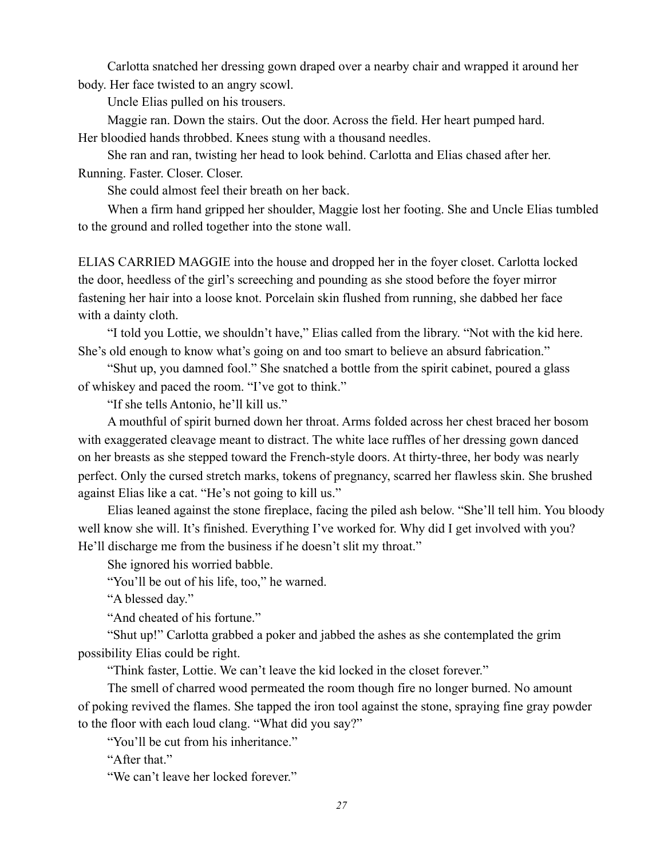Carlotta snatched her dressing gown draped over a nearby chair and wrapped it around her body. Her face twisted to an angry scowl.

Uncle Elias pulled on his trousers.

Maggie ran. Down the stairs. Out the door. Across the field. Her heart pumped hard.

Her bloodied hands throbbed. Knees stung with a thousand needles.

She ran and ran, twisting her head to look behind. Carlotta and Elias chased after her.

Running. Faster. Closer. Closer.

She could almost feel their breath on her back.

When a firm hand gripped her shoulder, Maggie lost her footing. She and Uncle Elias tumbled to the ground and rolled together into the stone wall.

ELIAS CARRIED MAGGIE into the house and dropped her in the foyer closet. Carlotta locked the door, heedless of the girl's screeching and pounding as she stood before the foyer mirror fastening her hair into a loose knot. Porcelain skin flushed from running, she dabbed her face with a dainty cloth.

"I told you Lottie, we shouldn't have," Elias called from the library. "Not with the kid here. She's old enough to know what's going on and too smart to believe an absurd fabrication."

"Shut up, you damned fool." She snatched a bottle from the spirit cabinet, poured a glass of whiskey and paced the room. "I've got to think."

"If she tells Antonio, he'll kill us."

A mouthful of spirit burned down her throat. Arms folded across her chest braced her bosom with exaggerated cleavage meant to distract. The white lace ruffles of her dressing gown danced on her breasts as she stepped toward the French-style doors. At thirty-three, her body was nearly perfect. Only the cursed stretch marks, tokens of pregnancy, scarred her flawless skin. She brushed against Elias like a cat. "He's not going to kill us."

Elias leaned against the stone fireplace, facing the piled ash below. "She'll tell him. You bloody well know she will. It's finished. Everything I've worked for. Why did I get involved with you? He'll discharge me from the business if he doesn't slit my throat."

She ignored his worried babble.

"You'll be out of his life, too," he warned.

"A blessed day."

"And cheated of his fortune."

"Shut up!" Carlotta grabbed a poker and jabbed the ashes as she contemplated the grim possibility Elias could be right.

"Think faster, Lottie. We can't leave the kid locked in the closet forever."

The smell of charred wood permeated the room though fire no longer burned. No amount of poking revived the flames. She tapped the iron tool against the stone, spraying fine gray powder to the floor with each loud clang. "What did you say?"

"You'll be cut from his inheritance."

"After that"

"We can't leave her locked forever."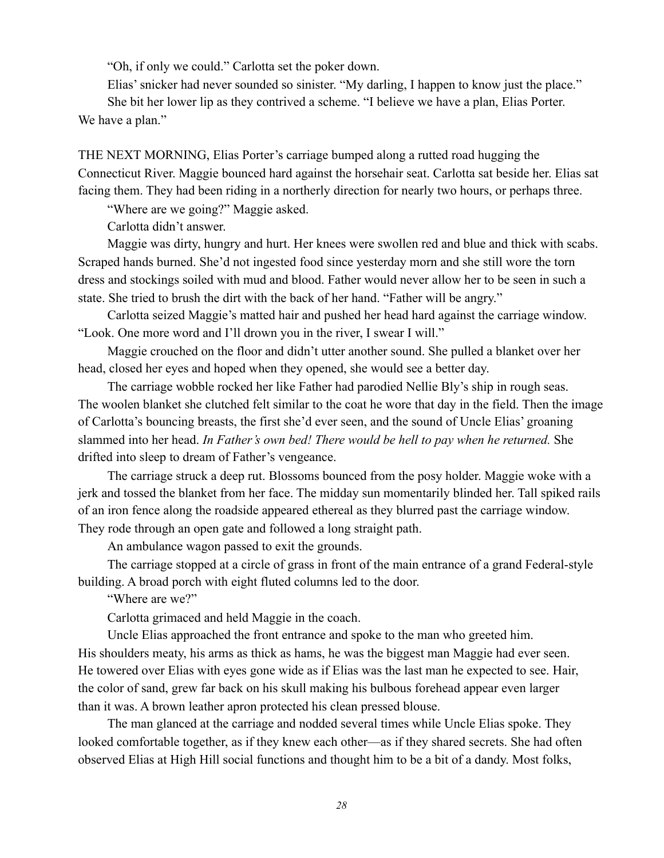"Oh, if only we could." Carlotta set the poker down.

Elias' snicker had never sounded so sinister. "My darling, I happen to know just the place."

She bit her lower lip as they contrived a scheme. "I believe we have a plan, Elias Porter. We have a plan."

THE NEXT MORNING, Elias Porter's carriage bumped along a rutted road hugging the Connecticut River. Maggie bounced hard against the horsehair seat. Carlotta sat beside her. Elias sat facing them. They had been riding in a northerly direction for nearly two hours, or perhaps three.

"Where are we going?" Maggie asked.

Carlotta didn't answer.

Maggie was dirty, hungry and hurt. Her knees were swollen red and blue and thick with scabs. Scraped hands burned. She'd not ingested food since yesterday morn and she still wore the torn dress and stockings soiled with mud and blood. Father would never allow her to be seen in such a state. She tried to brush the dirt with the back of her hand. "Father will be angry."

Carlotta seized Maggie's matted hair and pushed her head hard against the carriage window. "Look. One more word and I'll drown you in the river, I swear I will."

Maggie crouched on the floor and didn't utter another sound. She pulled a blanket over her head, closed her eyes and hoped when they opened, she would see a better day.

The carriage wobble rocked her like Father had parodied Nellie Bly's ship in rough seas. The woolen blanket she clutched felt similar to the coat he wore that day in the field. Then the image of Carlotta's bouncing breasts, the first she'd ever seen, and the sound of Uncle Elias' groaning slammed into her head. *In Father's own bed! There would be hell to pay when he returned.* She drifted into sleep to dream of Father's vengeance.

The carriage struck a deep rut. Blossoms bounced from the posy holder. Maggie woke with a jerk and tossed the blanket from her face. The midday sun momentarily blinded her. Tall spiked rails of an iron fence along the roadside appeared ethereal as they blurred past the carriage window. They rode through an open gate and followed a long straight path.

An ambulance wagon passed to exit the grounds.

The carriage stopped at a circle of grass in front of the main entrance of a grand Federal-style building. A broad porch with eight fluted columns led to the door.

"Where are we?"

Carlotta grimaced and held Maggie in the coach.

Uncle Elias approached the front entrance and spoke to the man who greeted him. His shoulders meaty, his arms as thick as hams, he was the biggest man Maggie had ever seen. He towered over Elias with eyes gone wide as if Elias was the last man he expected to see. Hair, the color of sand, grew far back on his skull making his bulbous forehead appear even larger than it was. A brown leather apron protected his clean pressed blouse.

The man glanced at the carriage and nodded several times while Uncle Elias spoke. They looked comfortable together, as if they knew each other—as if they shared secrets. She had often observed Elias at High Hill social functions and thought him to be a bit of a dandy. Most folks,